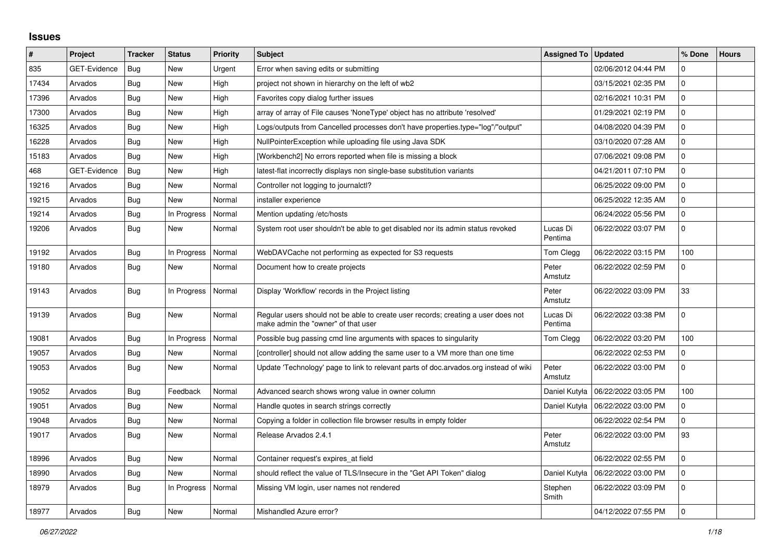## **Issues**

| #     | Project             | <b>Tracker</b> | <b>Status</b> | <b>Priority</b> | <b>Subject</b>                                                                                                           | <b>Assigned To</b>  | <b>Updated</b>      | % Done         | <b>Hours</b> |
|-------|---------------------|----------------|---------------|-----------------|--------------------------------------------------------------------------------------------------------------------------|---------------------|---------------------|----------------|--------------|
| 835   | <b>GET-Evidence</b> | Bug            | <b>New</b>    | Urgent          | Error when saving edits or submitting                                                                                    |                     | 02/06/2012 04:44 PM | $\mathbf 0$    |              |
| 17434 | Arvados             | <b>Bug</b>     | <b>New</b>    | High            | project not shown in hierarchy on the left of wb2                                                                        |                     | 03/15/2021 02:35 PM | $\mathbf 0$    |              |
| 17396 | Arvados             | Bug            | <b>New</b>    | High            | Favorites copy dialog further issues                                                                                     |                     | 02/16/2021 10:31 PM | $\Omega$       |              |
| 17300 | Arvados             | Bug            | <b>New</b>    | High            | array of array of File causes 'NoneType' object has no attribute 'resolved'                                              |                     | 01/29/2021 02:19 PM | $\mathbf 0$    |              |
| 16325 | Arvados             | Bug            | <b>New</b>    | High            | Logs/outputs from Cancelled processes don't have properties.type="log"/"output"                                          |                     | 04/08/2020 04:39 PM | 0              |              |
| 16228 | Arvados             | Bug            | <b>New</b>    | High            | NullPointerException while uploading file using Java SDK                                                                 |                     | 03/10/2020 07:28 AM | $\mathbf 0$    |              |
| 15183 | Arvados             | Bug            | <b>New</b>    | High            | [Workbench2] No errors reported when file is missing a block                                                             |                     | 07/06/2021 09:08 PM | $\mathbf 0$    |              |
| 468   | GET-Evidence        | Bug            | <b>New</b>    | High            | latest-flat incorrectly displays non single-base substitution variants                                                   |                     | 04/21/2011 07:10 PM | $\overline{0}$ |              |
| 19216 | Arvados             | Bug            | <b>New</b>    | Normal          | Controller not logging to journalctl?                                                                                    |                     | 06/25/2022 09:00 PM | $\mathbf 0$    |              |
| 19215 | Arvados             | <b>Bug</b>     | New           | Normal          | installer experience                                                                                                     |                     | 06/25/2022 12:35 AM | $\mathbf 0$    |              |
| 19214 | Arvados             | Bug            | In Progress   | Normal          | Mention updating /etc/hosts                                                                                              |                     | 06/24/2022 05:56 PM | $\overline{0}$ |              |
| 19206 | Arvados             | Bug            | New           | Normal          | System root user shouldn't be able to get disabled nor its admin status revoked                                          | Lucas Di<br>Pentima | 06/22/2022 03:07 PM | $\mathbf 0$    |              |
| 19192 | Arvados             | Bug            | In Progress   | Normal          | WebDAVCache not performing as expected for S3 requests                                                                   | Tom Clegg           | 06/22/2022 03:15 PM | 100            |              |
| 19180 | Arvados             | <b>Bug</b>     | <b>New</b>    | Normal          | Document how to create projects                                                                                          | Peter<br>Amstutz    | 06/22/2022 02:59 PM | $\mathbf 0$    |              |
| 19143 | Arvados             | Bug            | In Progress   | Normal          | Display 'Workflow' records in the Project listing                                                                        | Peter<br>Amstutz    | 06/22/2022 03:09 PM | 33             |              |
| 19139 | Arvados             | <b>Bug</b>     | <b>New</b>    | Normal          | Regular users should not be able to create user records; creating a user does not<br>make admin the "owner" of that user | Lucas Di<br>Pentima | 06/22/2022 03:38 PM | $\overline{0}$ |              |
| 19081 | Arvados             | <b>Bug</b>     | In Progress   | Normal          | Possible bug passing cmd line arguments with spaces to singularity                                                       | Tom Clegg           | 06/22/2022 03:20 PM | 100            |              |
| 19057 | Arvados             | Bug            | <b>New</b>    | Normal          | [controller] should not allow adding the same user to a VM more than one time                                            |                     | 06/22/2022 02:53 PM | $\mathbf 0$    |              |
| 19053 | Arvados             | Bug            | New           | Normal          | Update 'Technology' page to link to relevant parts of doc.arvados.org instead of wiki                                    | Peter<br>Amstutz    | 06/22/2022 03:00 PM | $\mathbf 0$    |              |
| 19052 | Arvados             | Bug            | Feedback      | Normal          | Advanced search shows wrong value in owner column                                                                        | Daniel Kutyła       | 06/22/2022 03:05 PM | 100            |              |
| 19051 | Arvados             | Bug            | New           | Normal          | Handle quotes in search strings correctly                                                                                | Daniel Kutyła       | 06/22/2022 03:00 PM | $\mathbf 0$    |              |
| 19048 | Arvados             | Bug            | <b>New</b>    | Normal          | Copying a folder in collection file browser results in empty folder                                                      |                     | 06/22/2022 02:54 PM | $\mathbf 0$    |              |
| 19017 | Arvados             | <b>Bug</b>     | <b>New</b>    | Normal          | Release Arvados 2.4.1                                                                                                    | Peter<br>Amstutz    | 06/22/2022 03:00 PM | 93             |              |
| 18996 | Arvados             | <b>Bug</b>     | <b>New</b>    | Normal          | Container request's expires_at field                                                                                     |                     | 06/22/2022 02:55 PM | 0              |              |
| 18990 | Arvados             | <b>Bug</b>     | <b>New</b>    | Normal          | should reflect the value of TLS/Insecure in the "Get API Token" dialog                                                   | Daniel Kutyła       | 06/22/2022 03:00 PM | $\mathsf 0$    |              |
| 18979 | Arvados             | Bug            | In Progress   | Normal          | Missing VM login, user names not rendered                                                                                | Stephen<br>Smith    | 06/22/2022 03:09 PM | $\mathbf 0$    |              |
| 18977 | Arvados             | <b>Bug</b>     | <b>New</b>    | Normal          | Mishandled Azure error?                                                                                                  |                     | 04/12/2022 07:55 PM | $\mathbf 0$    |              |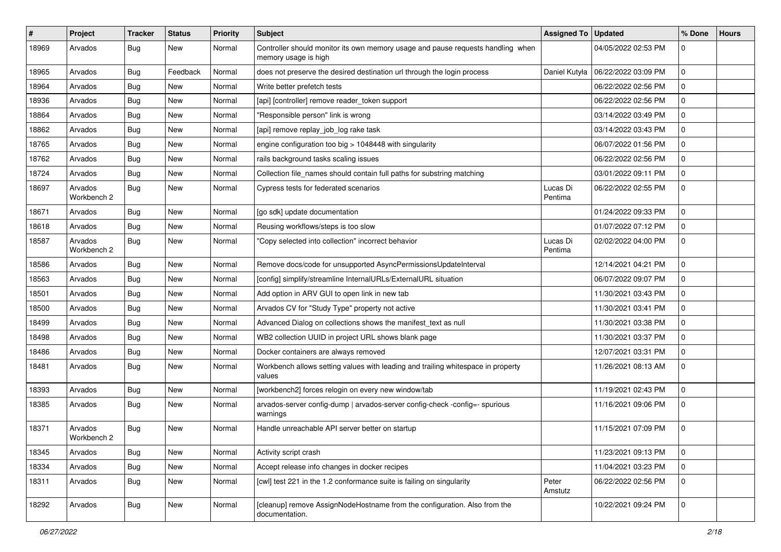| #     | Project                | Tracker    | <b>Status</b> | <b>Priority</b> | <b>Subject</b>                                                                                          | <b>Assigned To</b>  | <b>Updated</b>      | % Done       | <b>Hours</b> |
|-------|------------------------|------------|---------------|-----------------|---------------------------------------------------------------------------------------------------------|---------------------|---------------------|--------------|--------------|
| 18969 | Arvados                | <b>Bug</b> | New           | Normal          | Controller should monitor its own memory usage and pause requests handling when<br>memory usage is high |                     | 04/05/2022 02:53 PM | $\Omega$     |              |
| 18965 | Arvados                | <b>Bug</b> | Feedback      | Normal          | does not preserve the desired destination url through the login process                                 | Daniel Kutyła       | 06/22/2022 03:09 PM | $\mathbf 0$  |              |
| 18964 | Arvados                | <b>Bug</b> | New           | Normal          | Write better prefetch tests                                                                             |                     | 06/22/2022 02:56 PM | $\mathbf 0$  |              |
| 18936 | Arvados                | <b>Bug</b> | New           | Normal          | [api] [controller] remove reader_token support                                                          |                     | 06/22/2022 02:56 PM | $\mathbf 0$  |              |
| 18864 | Arvados                | <b>Bug</b> | New           | Normal          | "Responsible person" link is wrong                                                                      |                     | 03/14/2022 03:49 PM | $\mathbf 0$  |              |
| 18862 | Arvados                | <b>Bug</b> | New           | Normal          | [api] remove replay_job_log rake task                                                                   |                     | 03/14/2022 03:43 PM | $\mathbf 0$  |              |
| 18765 | Arvados                | <b>Bug</b> | New           | Normal          | engine configuration too big > 1048448 with singularity                                                 |                     | 06/07/2022 01:56 PM | $\mathbf 0$  |              |
| 18762 | Arvados                | <b>Bug</b> | New           | Normal          | rails background tasks scaling issues                                                                   |                     | 06/22/2022 02:56 PM | $\mathbf 0$  |              |
| 18724 | Arvados                | Bug        | New           | Normal          | Collection file_names should contain full paths for substring matching                                  |                     | 03/01/2022 09:11 PM | $\mathbf 0$  |              |
| 18697 | Arvados<br>Workbench 2 | <b>Bug</b> | New           | Normal          | Cypress tests for federated scenarios                                                                   | Lucas Di<br>Pentima | 06/22/2022 02:55 PM | $\mathbf 0$  |              |
| 18671 | Arvados                | <b>Bug</b> | New           | Normal          | [go sdk] update documentation                                                                           |                     | 01/24/2022 09:33 PM | $\mathbf 0$  |              |
| 18618 | Arvados                | Bug        | New           | Normal          | Reusing workflows/steps is too slow                                                                     |                     | 01/07/2022 07:12 PM | $\Omega$     |              |
| 18587 | Arvados<br>Workbench 2 | <b>Bug</b> | New           | Normal          | "Copy selected into collection" incorrect behavior                                                      | Lucas Di<br>Pentima | 02/02/2022 04:00 PM | $\Omega$     |              |
| 18586 | Arvados                | <b>Bug</b> | New           | Normal          | Remove docs/code for unsupported AsyncPermissionsUpdateInterval                                         |                     | 12/14/2021 04:21 PM | $\Omega$     |              |
| 18563 | Arvados                | Bug        | <b>New</b>    | Normal          | [config] simplify/streamline InternalURLs/ExternalURL situation                                         |                     | 06/07/2022 09:07 PM | $\mathbf 0$  |              |
| 18501 | Arvados                | <b>Bug</b> | New           | Normal          | Add option in ARV GUI to open link in new tab                                                           |                     | 11/30/2021 03:43 PM | $\mathbf 0$  |              |
| 18500 | Arvados                | <b>Bug</b> | New           | Normal          | Arvados CV for "Study Type" property not active                                                         |                     | 11/30/2021 03:41 PM | $\mathbf 0$  |              |
| 18499 | Arvados                | <b>Bug</b> | New           | Normal          | Advanced Dialog on collections shows the manifest_text as null                                          |                     | 11/30/2021 03:38 PM | $\mathbf 0$  |              |
| 18498 | Arvados                | <b>Bug</b> | New           | Normal          | WB2 collection UUID in project URL shows blank page                                                     |                     | 11/30/2021 03:37 PM | $\mathbf{0}$ |              |
| 18486 | Arvados                | Bug        | New           | Normal          | Docker containers are always removed                                                                    |                     | 12/07/2021 03:31 PM | $\mathbf 0$  |              |
| 18481 | Arvados                | <b>Bug</b> | New           | Normal          | Workbench allows setting values with leading and trailing whitespace in property<br>values              |                     | 11/26/2021 08:13 AM | $\mathbf 0$  |              |
| 18393 | Arvados                | <b>Bug</b> | New           | Normal          | [workbench2] forces relogin on every new window/tab                                                     |                     | 11/19/2021 02:43 PM | $\Omega$     |              |
| 18385 | Arvados                | <b>Bug</b> | New           | Normal          | arvados-server config-dump   arvados-server config-check -config=- spurious<br>warnings                 |                     | 11/16/2021 09:06 PM | $\mathbf 0$  |              |
| 18371 | Arvados<br>Workbench 2 | <b>Bug</b> | New           | Normal          | Handle unreachable API server better on startup                                                         |                     | 11/15/2021 07:09 PM | $\mathbf 0$  |              |
| 18345 | Arvados                | <b>Bug</b> | New           | Normal          | Activity script crash                                                                                   |                     | 11/23/2021 09:13 PM | 0            |              |
| 18334 | Arvados                | Bug        | New           | Normal          | Accept release info changes in docker recipes                                                           |                     | 11/04/2021 03:23 PM | $\mathbf 0$  |              |
| 18311 | Arvados                | Bug        | New           | Normal          | [cwl] test 221 in the 1.2 conformance suite is failing on singularity                                   | Peter<br>Amstutz    | 06/22/2022 02:56 PM | $\mathbf 0$  |              |
| 18292 | Arvados                | Bug        | New           | Normal          | [cleanup] remove AssignNodeHostname from the configuration. Also from the<br>documentation.             |                     | 10/22/2021 09:24 PM | $\mathbf 0$  |              |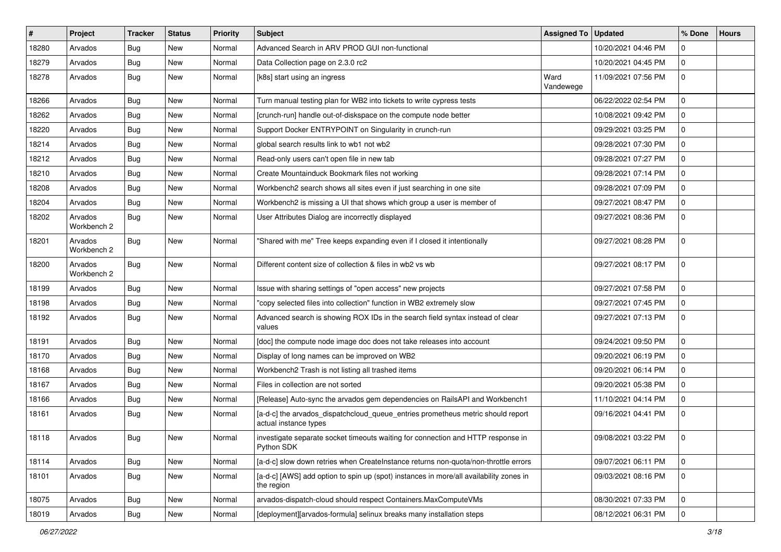| $\#$  | Project                | <b>Tracker</b> | <b>Status</b> | <b>Priority</b> | <b>Subject</b>                                                                                           | Assigned To       | <b>Updated</b>      | % Done      | <b>Hours</b> |
|-------|------------------------|----------------|---------------|-----------------|----------------------------------------------------------------------------------------------------------|-------------------|---------------------|-------------|--------------|
| 18280 | Arvados                | Bug            | <b>New</b>    | Normal          | Advanced Search in ARV PROD GUI non-functional                                                           |                   | 10/20/2021 04:46 PM | $\mathbf 0$ |              |
| 18279 | Arvados                | Bug            | New           | Normal          | Data Collection page on 2.3.0 rc2                                                                        |                   | 10/20/2021 04:45 PM | $\mathbf 0$ |              |
| 18278 | Arvados                | <b>Bug</b>     | New           | Normal          | [k8s] start using an ingress                                                                             | Ward<br>Vandewege | 11/09/2021 07:56 PM | $\mathbf 0$ |              |
| 18266 | Arvados                | <b>Bug</b>     | New           | Normal          | Turn manual testing plan for WB2 into tickets to write cypress tests                                     |                   | 06/22/2022 02:54 PM | $\mathbf 0$ |              |
| 18262 | Arvados                | Bug            | New           | Normal          | [crunch-run] handle out-of-diskspace on the compute node better                                          |                   | 10/08/2021 09:42 PM | $\mathbf 0$ |              |
| 18220 | Arvados                | <b>Bug</b>     | <b>New</b>    | Normal          | Support Docker ENTRYPOINT on Singularity in crunch-run                                                   |                   | 09/29/2021 03:25 PM | $\mathbf 0$ |              |
| 18214 | Arvados                | <b>Bug</b>     | New           | Normal          | global search results link to wb1 not wb2                                                                |                   | 09/28/2021 07:30 PM | $\mathbf 0$ |              |
| 18212 | Arvados                | Bug            | <b>New</b>    | Normal          | Read-only users can't open file in new tab                                                               |                   | 09/28/2021 07:27 PM | $\mathbf 0$ |              |
| 18210 | Arvados                | Bug            | <b>New</b>    | Normal          | Create Mountainduck Bookmark files not working                                                           |                   | 09/28/2021 07:14 PM | $\mathbf 0$ |              |
| 18208 | Arvados                | <b>Bug</b>     | New           | Normal          | Workbench2 search shows all sites even if just searching in one site                                     |                   | 09/28/2021 07:09 PM | $\mathbf 0$ |              |
| 18204 | Arvados                | Bug            | <b>New</b>    | Normal          | Workbench2 is missing a UI that shows which group a user is member of                                    |                   | 09/27/2021 08:47 PM | $\Omega$    |              |
| 18202 | Arvados<br>Workbench 2 | Bug            | New           | Normal          | User Attributes Dialog are incorrectly displayed                                                         |                   | 09/27/2021 08:36 PM | $\mathbf 0$ |              |
| 18201 | Arvados<br>Workbench 2 | Bug            | New           | Normal          | "Shared with me" Tree keeps expanding even if I closed it intentionally                                  |                   | 09/27/2021 08:28 PM | $\mathbf 0$ |              |
| 18200 | Arvados<br>Workbench 2 | Bug            | New           | Normal          | Different content size of collection & files in wb2 vs wb                                                |                   | 09/27/2021 08:17 PM | $\mathbf 0$ |              |
| 18199 | Arvados                | Bug            | New           | Normal          | Issue with sharing settings of "open access" new projects                                                |                   | 09/27/2021 07:58 PM | $\mathbf 0$ |              |
| 18198 | Arvados                | Bug            | New           | Normal          | "copy selected files into collection" function in WB2 extremely slow                                     |                   | 09/27/2021 07:45 PM | $\mathbf 0$ |              |
| 18192 | Arvados                | Bug            | New           | Normal          | Advanced search is showing ROX IDs in the search field syntax instead of clear<br>values                 |                   | 09/27/2021 07:13 PM | $\mathbf 0$ |              |
| 18191 | Arvados                | Bug            | <b>New</b>    | Normal          | [doc] the compute node image doc does not take releases into account                                     |                   | 09/24/2021 09:50 PM | $\mathbf 0$ |              |
| 18170 | Arvados                | Bug            | New           | Normal          | Display of long names can be improved on WB2                                                             |                   | 09/20/2021 06:19 PM | $\mathbf 0$ |              |
| 18168 | Arvados                | Bug            | New           | Normal          | Workbench2 Trash is not listing all trashed items                                                        |                   | 09/20/2021 06:14 PM | $\mathbf 0$ |              |
| 18167 | Arvados                | Bug            | New           | Normal          | Files in collection are not sorted                                                                       |                   | 09/20/2021 05:38 PM | $\mathbf 0$ |              |
| 18166 | Arvados                | <b>Bug</b>     | New           | Normal          | [Release] Auto-sync the arvados gem dependencies on RailsAPI and Workbench1                              |                   | 11/10/2021 04:14 PM | $\mathbf 0$ |              |
| 18161 | Arvados                | <b>Bug</b>     | New           | Normal          | [a-d-c] the arvados_dispatchcloud_queue_entries prometheus metric should report<br>actual instance types |                   | 09/16/2021 04:41 PM | $\mathbf 0$ |              |
| 18118 | Arvados                | Bug            | New           | Normal          | investigate separate socket timeouts waiting for connection and HTTP response in<br>Python SDK           |                   | 09/08/2021 03:22 PM | $\Omega$    |              |
| 18114 | Arvados                | Bug            | New           | Normal          | [a-d-c] slow down retries when CreateInstance returns non-quota/non-throttle errors                      |                   | 09/07/2021 06:11 PM | $\mathbf 0$ |              |
| 18101 | Arvados                | Bug            | New           | Normal          | [a-d-c] [AWS] add option to spin up (spot) instances in more/all availability zones in<br>the region     |                   | 09/03/2021 08:16 PM | $\mathbf 0$ |              |
| 18075 | Arvados                | Bug            | New           | Normal          | arvados-dispatch-cloud should respect Containers.MaxComputeVMs                                           |                   | 08/30/2021 07:33 PM | $\mathbf 0$ |              |
| 18019 | Arvados                | <b>Bug</b>     | New           | Normal          | [deployment][arvados-formula] selinux breaks many installation steps                                     |                   | 08/12/2021 06:31 PM | l 0         |              |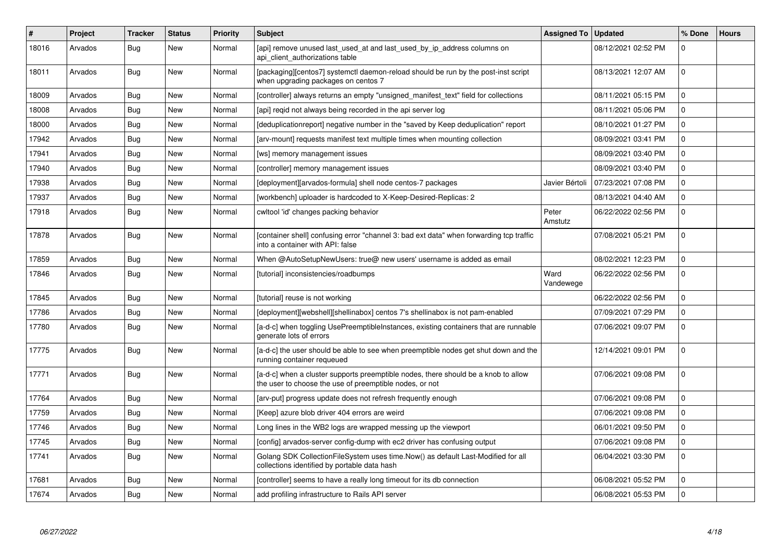| #     | Project | <b>Tracker</b> | <b>Status</b> | <b>Priority</b> | <b>Subject</b>                                                                                                                                | <b>Assigned To</b> | <b>Updated</b>      | % Done       | <b>Hours</b> |
|-------|---------|----------------|---------------|-----------------|-----------------------------------------------------------------------------------------------------------------------------------------------|--------------------|---------------------|--------------|--------------|
| 18016 | Arvados | <b>Bug</b>     | <b>New</b>    | Normal          | [api] remove unused last_used_at and last_used_by_ip_address columns on<br>api client authorizations table                                    |                    | 08/12/2021 02:52 PM | $\mathbf{0}$ |              |
| 18011 | Arvados | Bug            | New           | Normal          | [packaging][centos7] systemctl daemon-reload should be run by the post-inst script<br>when upgrading packages on centos 7                     |                    | 08/13/2021 12:07 AM | $\mathbf 0$  |              |
| 18009 | Arvados | Bug            | <b>New</b>    | Normal          | [controller] always returns an empty "unsigned manifest text" field for collections                                                           |                    | 08/11/2021 05:15 PM | $\mathbf 0$  |              |
| 18008 | Arvados | Bug            | <b>New</b>    | Normal          | [api] regid not always being recorded in the api server log                                                                                   |                    | 08/11/2021 05:06 PM | $\Omega$     |              |
| 18000 | Arvados | Bug            | <b>New</b>    | Normal          | [deduplicationreport] negative number in the "saved by Keep deduplication" report                                                             |                    | 08/10/2021 01:27 PM | $\mathbf 0$  |              |
| 17942 | Arvados | <b>Bug</b>     | <b>New</b>    | Normal          | [arv-mount] requests manifest text multiple times when mounting collection                                                                    |                    | 08/09/2021 03:41 PM | $\mathbf 0$  |              |
| 17941 | Arvados | Bug            | New           | Normal          | [ws] memory management issues                                                                                                                 |                    | 08/09/2021 03:40 PM | $\Omega$     |              |
| 17940 | Arvados | Bug            | New           | Normal          | [controller] memory management issues                                                                                                         |                    | 08/09/2021 03:40 PM | $\mathbf 0$  |              |
| 17938 | Arvados | <b>Bug</b>     | <b>New</b>    | Normal          | [deployment][arvados-formula] shell node centos-7 packages                                                                                    | Javier Bértoli     | 07/23/2021 07:08 PM | $\mathbf 0$  |              |
| 17937 | Arvados | Bug            | <b>New</b>    | Normal          | [workbench] uploader is hardcoded to X-Keep-Desired-Replicas: 2                                                                               |                    | 08/13/2021 04:40 AM | $\mathbf{0}$ |              |
| 17918 | Arvados | Bug            | New           | Normal          | cwltool 'id' changes packing behavior                                                                                                         | Peter<br>Amstutz   | 06/22/2022 02:56 PM | $\mathbf{0}$ |              |
| 17878 | Arvados | <b>Bug</b>     | New           | Normal          | [container shell] confusing error "channel 3: bad ext data" when forwarding tcp traffic<br>into a container with API: false                   |                    | 07/08/2021 05:21 PM | $\Omega$     |              |
| 17859 | Arvados | Bug            | New           | Normal          | When @AutoSetupNewUsers: true@ new users' username is added as email                                                                          |                    | 08/02/2021 12:23 PM | $\mathbf{0}$ |              |
| 17846 | Arvados | Bug            | <b>New</b>    | Normal          | [tutorial] inconsistencies/roadbumps                                                                                                          | Ward<br>Vandewege  | 06/22/2022 02:56 PM | $\Omega$     |              |
| 17845 | Arvados | Bug            | <b>New</b>    | Normal          | [tutorial] reuse is not working                                                                                                               |                    | 06/22/2022 02:56 PM | $\mathbf 0$  |              |
| 17786 | Arvados | Bug            | <b>New</b>    | Normal          | [deployment][webshell][shellinabox] centos 7's shellinabox is not pam-enabled                                                                 |                    | 07/09/2021 07:29 PM | $\Omega$     |              |
| 17780 | Arvados | Bug            | New           | Normal          | [a-d-c] when toggling UsePreemptibleInstances, existing containers that are runnable<br>generate lots of errors                               |                    | 07/06/2021 09:07 PM | $\mathbf 0$  |              |
| 17775 | Arvados | Bug            | <b>New</b>    | Normal          | [a-d-c] the user should be able to see when preemptible nodes get shut down and the<br>running container requeued                             |                    | 12/14/2021 09:01 PM | $\Omega$     |              |
| 17771 | Arvados | Bug            | New           | Normal          | [a-d-c] when a cluster supports preemptible nodes, there should be a knob to allow<br>the user to choose the use of preemptible nodes, or not |                    | 07/06/2021 09:08 PM | $\Omega$     |              |
| 17764 | Arvados | Bug            | <b>New</b>    | Normal          | [arv-put] progress update does not refresh frequently enough                                                                                  |                    | 07/06/2021 09:08 PM | $\Omega$     |              |
| 17759 | Arvados | Bug            | <b>New</b>    | Normal          | [Keep] azure blob driver 404 errors are weird                                                                                                 |                    | 07/06/2021 09:08 PM | $\mathbf{0}$ |              |
| 17746 | Arvados | Bug            | <b>New</b>    | Normal          | Long lines in the WB2 logs are wrapped messing up the viewport                                                                                |                    | 06/01/2021 09:50 PM | $\Omega$     |              |
| 17745 | Arvados | Bug            | New           | Normal          | [config] arvados-server config-dump with ec2 driver has confusing output                                                                      |                    | 07/06/2021 09:08 PM | $\mathbf 0$  |              |
| 17741 | Arvados | <b>Bug</b>     | New           | Normal          | Golang SDK CollectionFileSystem uses time.Now() as default Last-Modified for all<br>collections identified by portable data hash              |                    | 06/04/2021 03:30 PM | $\mathbf 0$  |              |
| 17681 | Arvados | Bug            | New           | Normal          | [controller] seems to have a really long timeout for its db connection                                                                        |                    | 06/08/2021 05:52 PM | $\mathbf 0$  |              |
| 17674 | Arvados | Bug            | <b>New</b>    | Normal          | add profiling infrastructure to Rails API server                                                                                              |                    | 06/08/2021 05:53 PM | $\mathbf 0$  |              |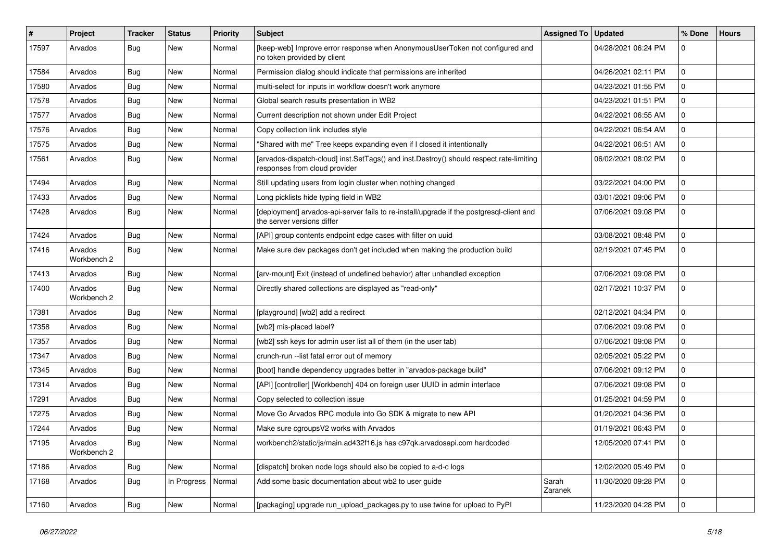| $\#$  | Project                | Tracker    | <b>Status</b>    | <b>Priority</b> | Subject                                                                                                                  | Assigned To   Updated |                     | % Done              | <b>Hours</b> |
|-------|------------------------|------------|------------------|-----------------|--------------------------------------------------------------------------------------------------------------------------|-----------------------|---------------------|---------------------|--------------|
| 17597 | Arvados                | <b>Bug</b> | New              | Normal          | [keep-web] Improve error response when AnonymousUserToken not configured and<br>no token provided by client              |                       | 04/28/2021 06:24 PM | $\Omega$            |              |
| 17584 | Arvados                | Bug        | New              | Normal          | Permission dialog should indicate that permissions are inherited                                                         |                       | 04/26/2021 02:11 PM | $\mathbf 0$         |              |
| 17580 | Arvados                | <b>Bug</b> | New              | Normal          | multi-select for inputs in workflow doesn't work anymore                                                                 |                       | 04/23/2021 01:55 PM | $\mathbf 0$         |              |
| 17578 | Arvados                | Bug        | <b>New</b>       | Normal          | Global search results presentation in WB2                                                                                |                       | 04/23/2021 01:51 PM | $\mathbf 0$         |              |
| 17577 | Arvados                | <b>Bug</b> | New              | Normal          | Current description not shown under Edit Project                                                                         |                       | 04/22/2021 06:55 AM | $\mathbf 0$         |              |
| 17576 | Arvados                | <b>Bug</b> | <b>New</b>       | Normal          | Copy collection link includes style                                                                                      |                       | 04/22/2021 06:54 AM | $\mathbf 0$         |              |
| 17575 | Arvados                | <b>Bug</b> | New              | Normal          | "Shared with me" Tree keeps expanding even if I closed it intentionally                                                  |                       | 04/22/2021 06:51 AM | 0                   |              |
| 17561 | Arvados                | Bug        | New              | Normal          | [arvados-dispatch-cloud] inst.SetTags() and inst.Destroy() should respect rate-limiting<br>responses from cloud provider |                       | 06/02/2021 08:02 PM | $\mathbf 0$         |              |
| 17494 | Arvados                | <b>Bug</b> | New              | Normal          | Still updating users from login cluster when nothing changed                                                             |                       | 03/22/2021 04:00 PM | $\mathbf 0$         |              |
| 17433 | Arvados                | Bug        | New              | Normal          | Long picklists hide typing field in WB2                                                                                  |                       | 03/01/2021 09:06 PM | $\mathbf 0$         |              |
| 17428 | Arvados                | <b>Bug</b> | <b>New</b>       | Normal          | [deployment] arvados-api-server fails to re-install/upgrade if the postgresql-client and<br>the server versions differ   |                       | 07/06/2021 09:08 PM | $\mathbf 0$         |              |
| 17424 | Arvados                | Bug        | <b>New</b>       | Normal          | [API] group contents endpoint edge cases with filter on uuid                                                             |                       | 03/08/2021 08:48 PM | $\mathbf 0$         |              |
| 17416 | Arvados<br>Workbench 2 | Bug        | New              | Normal          | Make sure dev packages don't get included when making the production build                                               |                       | 02/19/2021 07:45 PM | $\mathbf 0$         |              |
| 17413 | Arvados                | Bug        | New              | Normal          | [arv-mount] Exit (instead of undefined behavior) after unhandled exception                                               |                       | 07/06/2021 09:08 PM | $\mathbf 0$         |              |
| 17400 | Arvados<br>Workbench 2 | <b>Bug</b> | New              | Normal          | Directly shared collections are displayed as "read-only"                                                                 |                       | 02/17/2021 10:37 PM | $\mathbf 0$         |              |
| 17381 | Arvados                | Bug        | <b>New</b>       | Normal          | [playground] [wb2] add a redirect                                                                                        |                       | 02/12/2021 04:34 PM | $\mathbf 0$         |              |
| 17358 | Arvados                | <b>Bug</b> | New              | Normal          | [wb2] mis-placed label?                                                                                                  |                       | 07/06/2021 09:08 PM | $\mathbf 0$         |              |
| 17357 | Arvados                | Bug        | <b>New</b>       | Normal          | [wb2] ssh keys for admin user list all of them (in the user tab)                                                         |                       | 07/06/2021 09:08 PM | $\mathbf 0$         |              |
| 17347 | Arvados                | <b>Bug</b> | New              | Normal          | crunch-run -- list fatal error out of memory                                                                             |                       | 02/05/2021 05:22 PM | 0                   |              |
| 17345 | Arvados                | <b>Bug</b> | <b>New</b>       | Normal          | [boot] handle dependency upgrades better in "arvados-package build"                                                      |                       | 07/06/2021 09:12 PM | $\mathbf 0$         |              |
| 17314 | Arvados                | Bug        | New              | Normal          | [API] [controller] [Workbench] 404 on foreign user UUID in admin interface                                               |                       | 07/06/2021 09:08 PM | $\mathbf 0$         |              |
| 17291 | Arvados                | <b>Bug</b> | <b>New</b>       | Normal          | Copy selected to collection issue                                                                                        |                       | 01/25/2021 04:59 PM | $\mathbf 0$         |              |
| 17275 | Arvados                | Bug        | New              | Normal          | Move Go Arvados RPC module into Go SDK & migrate to new API                                                              |                       | 01/20/2021 04:36 PM | $\mathbf 0$         |              |
| 17244 | Arvados                | <b>Bug</b> | New              | Normal          | Make sure cgroupsV2 works with Arvados                                                                                   |                       | 01/19/2021 06:43 PM | $\mathbf 0$         |              |
| 17195 | Arvados<br>Workbench 2 | <b>Bug</b> | <sub>I</sub> New | Normal          | workbench2/static/js/main.ad432f16.js has c97qk.arvadosapi.com hardcoded                                                 |                       | 12/05/2020 07:41 PM | l 0                 |              |
| 17186 | Arvados                | <b>Bug</b> | New              | Normal          | [dispatch] broken node logs should also be copied to a-d-c logs                                                          |                       | 12/02/2020 05:49 PM | $\mathbf 0$         |              |
| 17168 | Arvados                | Bug        | In Progress      | Normal          | Add some basic documentation about wb2 to user guide                                                                     | Sarah<br>Zaranek      | 11/30/2020 09:28 PM | 0                   |              |
| 17160 | Arvados                | <b>Bug</b> | New              | Normal          | [packaging] upgrade run_upload_packages.py to use twine for upload to PyPI                                               |                       | 11/23/2020 04:28 PM | $\mathsf{O}\xspace$ |              |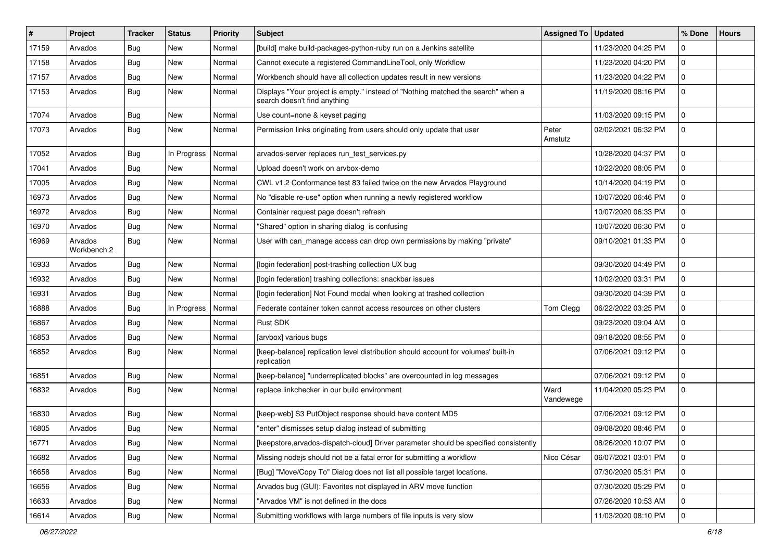| #     | Project                | Tracker    | <b>Status</b> | <b>Priority</b> | <b>Subject</b>                                                                                                   | Assigned To   Updated |                     | % Done      | <b>Hours</b> |
|-------|------------------------|------------|---------------|-----------------|------------------------------------------------------------------------------------------------------------------|-----------------------|---------------------|-------------|--------------|
| 17159 | Arvados                | <b>Bug</b> | New           | Normal          | [build] make build-packages-python-ruby run on a Jenkins satellite                                               |                       | 11/23/2020 04:25 PM | $\Omega$    |              |
| 17158 | Arvados                | Bug        | New           | Normal          | Cannot execute a registered CommandLineTool, only Workflow                                                       |                       | 11/23/2020 04:20 PM | $\mathbf 0$ |              |
| 17157 | Arvados                | <b>Bug</b> | New           | Normal          | Workbench should have all collection updates result in new versions                                              |                       | 11/23/2020 04:22 PM | $\mathbf 0$ |              |
| 17153 | Arvados                | <b>Bug</b> | New           | Normal          | Displays "Your project is empty." instead of "Nothing matched the search" when a<br>search doesn't find anything |                       | 11/19/2020 08:16 PM | $\mathbf 0$ |              |
| 17074 | Arvados                | Bug        | New           | Normal          | Use count=none & keyset paging                                                                                   |                       | 11/03/2020 09:15 PM | 0           |              |
| 17073 | Arvados                | <b>Bug</b> | New           | Normal          | Permission links originating from users should only update that user                                             | Peter<br>Amstutz      | 02/02/2021 06:32 PM | $\mathbf 0$ |              |
| 17052 | Arvados                | <b>Bug</b> | In Progress   | Normal          | arvados-server replaces run_test_services.py                                                                     |                       | 10/28/2020 04:37 PM | $\Omega$    |              |
| 17041 | Arvados                | Bug        | New           | Normal          | Upload doesn't work on arvbox-demo                                                                               |                       | 10/22/2020 08:05 PM | $\mathbf 0$ |              |
| 17005 | Arvados                | <b>Bug</b> | New           | Normal          | CWL v1.2 Conformance test 83 failed twice on the new Arvados Playground                                          |                       | 10/14/2020 04:19 PM | $\mathbf 0$ |              |
| 16973 | Arvados                | Bug        | New           | Normal          | No "disable re-use" option when running a newly registered workflow                                              |                       | 10/07/2020 06:46 PM | $\mathbf 0$ |              |
| 16972 | Arvados                | Bug        | <b>New</b>    | Normal          | Container request page doesn't refresh                                                                           |                       | 10/07/2020 06:33 PM | $\mathbf 0$ |              |
| 16970 | Arvados                | Bug        | New           | Normal          | "Shared" option in sharing dialog is confusing                                                                   |                       | 10/07/2020 06:30 PM | $\Omega$    |              |
| 16969 | Arvados<br>Workbench 2 | <b>Bug</b> | New           | Normal          | User with can_manage access can drop own permissions by making "private"                                         |                       | 09/10/2021 01:33 PM | $\mathbf 0$ |              |
| 16933 | Arvados                | Bug        | New           | Normal          | [login federation] post-trashing collection UX bug                                                               |                       | 09/30/2020 04:49 PM | $\Omega$    |              |
| 16932 | Arvados                | Bug        | New           | Normal          | [login federation] trashing collections: snackbar issues                                                         |                       | 10/02/2020 03:31 PM | $\mathbf 0$ |              |
| 16931 | Arvados                | <b>Bug</b> | New           | Normal          | [login federation] Not Found modal when looking at trashed collection                                            |                       | 09/30/2020 04:39 PM | $\mathbf 0$ |              |
| 16888 | Arvados                | Bug        | In Progress   | Normal          | Federate container token cannot access resources on other clusters                                               | Tom Clegg             | 06/22/2022 03:25 PM | $\mathbf 0$ |              |
| 16867 | Arvados                | <b>Bug</b> | New           | Normal          | Rust SDK                                                                                                         |                       | 09/23/2020 09:04 AM | $\mathbf 0$ |              |
| 16853 | Arvados                | <b>Bug</b> | New           | Normal          | [arvbox] various bugs                                                                                            |                       | 09/18/2020 08:55 PM | $\Omega$    |              |
| 16852 | Arvados                | <b>Bug</b> | New           | Normal          | [keep-balance] replication level distribution should account for volumes' built-in<br>replication                |                       | 07/06/2021 09:12 PM | $\mathbf 0$ |              |
| 16851 | Arvados                | <b>Bug</b> | New           | Normal          | [keep-balance] "underreplicated blocks" are overcounted in log messages                                          |                       | 07/06/2021 09:12 PM | $\mathbf 0$ |              |
| 16832 | Arvados                | <b>Bug</b> | New           | Normal          | replace linkchecker in our build environment                                                                     | Ward<br>Vandewege     | 11/04/2020 05:23 PM | $\mathbf 0$ |              |
| 16830 | Arvados                | Bug        | New           | Normal          | [keep-web] S3 PutObject response should have content MD5                                                         |                       | 07/06/2021 09:12 PM | $\mathbf 0$ |              |
| 16805 | Arvados                | <b>Bug</b> | New           | Normal          | "enter" dismisses setup dialog instead of submitting                                                             |                       | 09/08/2020 08:46 PM | $\mathbf 0$ |              |
| 16771 | Arvados                | <b>Bug</b> | New           | Normal          | [keepstore, arvados-dispatch-cloud] Driver parameter should be specified consistently                            |                       | 08/26/2020 10:07 PM | 0           |              |
| 16682 | Arvados                | <b>Bug</b> | New           | Normal          | Missing nodejs should not be a fatal error for submitting a workflow                                             | Nico César            | 06/07/2021 03:01 PM | $\mathbf 0$ |              |
| 16658 | Arvados                | <b>Bug</b> | New           | Normal          | [Bug] "Move/Copy To" Dialog does not list all possible target locations.                                         |                       | 07/30/2020 05:31 PM | 0           |              |
| 16656 | Arvados                | <b>Bug</b> | New           | Normal          | Arvados bug (GUI): Favorites not displayed in ARV move function                                                  |                       | 07/30/2020 05:29 PM | $\mathbf 0$ |              |
| 16633 | Arvados                | <b>Bug</b> | New           | Normal          | "Arvados VM" is not defined in the docs                                                                          |                       | 07/26/2020 10:53 AM | 0           |              |
| 16614 | Arvados                | Bug        | New           | Normal          | Submitting workflows with large numbers of file inputs is very slow                                              |                       | 11/03/2020 08:10 PM | 0           |              |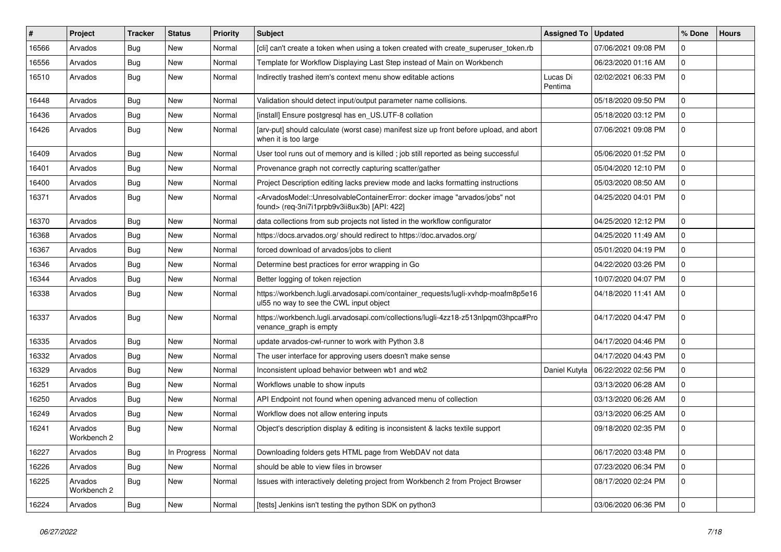| $\pmb{\#}$ | Project                | <b>Tracker</b> | <b>Status</b> | <b>Priority</b> | <b>Subject</b>                                                                                                                                                                           | <b>Assigned To</b>  | <b>Updated</b>      | % Done         | <b>Hours</b> |
|------------|------------------------|----------------|---------------|-----------------|------------------------------------------------------------------------------------------------------------------------------------------------------------------------------------------|---------------------|---------------------|----------------|--------------|
| 16566      | Arvados                | Bug            | New           | Normal          | [cli] can't create a token when using a token created with create superuser token.rb                                                                                                     |                     | 07/06/2021 09:08 PM | $\Omega$       |              |
| 16556      | Arvados                | <b>Bug</b>     | <b>New</b>    | Normal          | Template for Workflow Displaying Last Step instead of Main on Workbench                                                                                                                  |                     | 06/23/2020 01:16 AM | $\Omega$       |              |
| 16510      | Arvados                | <b>Bug</b>     | New           | Normal          | Indirectly trashed item's context menu show editable actions                                                                                                                             | Lucas Di<br>Pentima | 02/02/2021 06:33 PM | $\mathbf 0$    |              |
| 16448      | Arvados                | Bug            | <b>New</b>    | Normal          | Validation should detect input/output parameter name collisions.                                                                                                                         |                     | 05/18/2020 09:50 PM | $\mathbf 0$    |              |
| 16436      | Arvados                | <b>Bug</b>     | New           | Normal          | [install] Ensure postgresgl has en US.UTF-8 collation                                                                                                                                    |                     | 05/18/2020 03:12 PM | $\mathbf 0$    |              |
| 16426      | Arvados                | <b>Bug</b>     | New           | Normal          | [arv-put] should calculate (worst case) manifest size up front before upload, and abort<br>when it is too large                                                                          |                     | 07/06/2021 09:08 PM | $\Omega$       |              |
| 16409      | Arvados                | Bug            | New           | Normal          | User tool runs out of memory and is killed; job still reported as being successful                                                                                                       |                     | 05/06/2020 01:52 PM | $\Omega$       |              |
| 16401      | Arvados                | <b>Bug</b>     | <b>New</b>    | Normal          | Provenance graph not correctly capturing scatter/gather                                                                                                                                  |                     | 05/04/2020 12:10 PM | $\mathbf 0$    |              |
| 16400      | Arvados                | <b>Bug</b>     | New           | Normal          | Project Description editing lacks preview mode and lacks formatting instructions                                                                                                         |                     | 05/03/2020 08:50 AM | $\mathbf 0$    |              |
| 16371      | Arvados                | <b>Bug</b>     | New           | Normal          | <arvadosmodel::unresolvablecontainererror: "arvados="" docker="" image="" jobs"="" not<br="">found&gt; (req-3ni7i1prpb9v3ii8ux3b) [API: 422]</arvadosmodel::unresolvablecontainererror:> |                     | 04/25/2020 04:01 PM | $\mathbf 0$    |              |
| 16370      | Arvados                | <b>Bug</b>     | <b>New</b>    | Normal          | data collections from sub projects not listed in the workflow configurator                                                                                                               |                     | 04/25/2020 12:12 PM | $\mathbf 0$    |              |
| 16368      | Arvados                | Bug            | New           | Normal          | https://docs.arvados.org/ should redirect to https://doc.arvados.org/                                                                                                                    |                     | 04/25/2020 11:49 AM | $\Omega$       |              |
| 16367      | Arvados                | <b>Bug</b>     | New           | Normal          | forced download of arvados/jobs to client                                                                                                                                                |                     | 05/01/2020 04:19 PM | $\mathbf 0$    |              |
| 16346      | Arvados                | <b>Bug</b>     | New           | Normal          | Determine best practices for error wrapping in Go                                                                                                                                        |                     | 04/22/2020 03:26 PM | $\mathbf{0}$   |              |
| 16344      | Arvados                | Bug            | <b>New</b>    | Normal          | Better logging of token rejection                                                                                                                                                        |                     | 10/07/2020 04:07 PM | $\mathbf 0$    |              |
| 16338      | Arvados                | <b>Bug</b>     | New           | Normal          | https://workbench.lugli.arvadosapi.com/container_requests/lugli-xvhdp-moafm8p5e16<br>ul55 no way to see the CWL input object                                                             |                     | 04/18/2020 11:41 AM | $\mathbf 0$    |              |
| 16337      | Arvados                | <b>Bug</b>     | New           | Normal          | https://workbench.lugli.arvadosapi.com/collections/lugli-4zz18-z513nlpqm03hpca#Pro<br>venance_graph is empty                                                                             |                     | 04/17/2020 04:47 PM | $\mathbf{0}$   |              |
| 16335      | Arvados                | Bug            | New           | Normal          | update arvados-cwl-runner to work with Python 3.8                                                                                                                                        |                     | 04/17/2020 04:46 PM | $\mathbf 0$    |              |
| 16332      | Arvados                | <b>Bug</b>     | New           | Normal          | The user interface for approving users doesn't make sense                                                                                                                                |                     | 04/17/2020 04:43 PM | $\mathbf 0$    |              |
| 16329      | Arvados                | <b>Bug</b>     | New           | Normal          | Inconsistent upload behavior between wb1 and wb2                                                                                                                                         | Daniel Kutyła       | 06/22/2022 02:56 PM | $\Omega$       |              |
| 16251      | Arvados                | Bug            | <b>New</b>    | Normal          | Workflows unable to show inputs                                                                                                                                                          |                     | 03/13/2020 06:28 AM | $\mathbf 0$    |              |
| 16250      | Arvados                | <b>Bug</b>     | New           | Normal          | API Endpoint not found when opening advanced menu of collection                                                                                                                          |                     | 03/13/2020 06:26 AM | $\mathbf 0$    |              |
| 16249      | Arvados                | <b>Bug</b>     | New           | Normal          | Workflow does not allow entering inputs                                                                                                                                                  |                     | 03/13/2020 06:25 AM | $\mathbf 0$    |              |
| 16241      | Arvados<br>Workbench 2 | <b>Bug</b>     | New           | Normal          | Object's description display & editing is inconsistent & lacks textile support                                                                                                           |                     | 09/18/2020 02:35 PM | $\overline{0}$ |              |
| 16227      | Arvados                | <b>Bug</b>     | In Progress   | Normal          | Downloading folders gets HTML page from WebDAV not data                                                                                                                                  |                     | 06/17/2020 03:48 PM | 0              |              |
| 16226      | Arvados                | <b>Bug</b>     | New           | Normal          | should be able to view files in browser                                                                                                                                                  |                     | 07/23/2020 06:34 PM | $\mathbf 0$    |              |
| 16225      | Arvados<br>Workbench 2 | Bug            | New           | Normal          | Issues with interactively deleting project from Workbench 2 from Project Browser                                                                                                         |                     | 08/17/2020 02:24 PM | $\mathbf 0$    |              |
| 16224      | Arvados                | <b>Bug</b>     | New           | Normal          | [tests] Jenkins isn't testing the python SDK on python3                                                                                                                                  |                     | 03/06/2020 06:36 PM | 0              |              |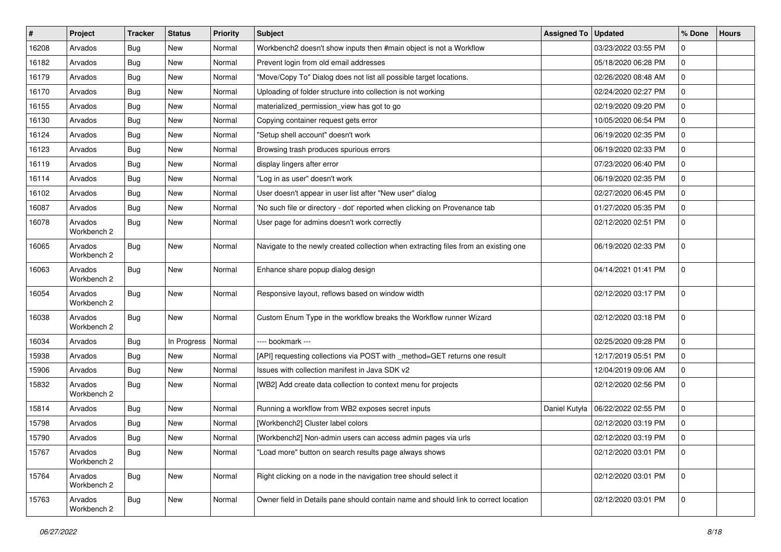| $\#$  | Project                | <b>Tracker</b> | <b>Status</b> | Priority | <b>Subject</b>                                                                      | <b>Assigned To</b> | <b>Updated</b>      | % Done      | <b>Hours</b> |
|-------|------------------------|----------------|---------------|----------|-------------------------------------------------------------------------------------|--------------------|---------------------|-------------|--------------|
| 16208 | Arvados                | Bug            | <b>New</b>    | Normal   | Workbench2 doesn't show inputs then #main object is not a Workflow                  |                    | 03/23/2022 03:55 PM | 0           |              |
| 16182 | Arvados                | Bug            | <b>New</b>    | Normal   | Prevent login from old email addresses                                              |                    | 05/18/2020 06:28 PM | $\mathbf 0$ |              |
| 16179 | Arvados                | <b>Bug</b>     | New           | Normal   | "Move/Copy To" Dialog does not list all possible target locations.                  |                    | 02/26/2020 08:48 AM | $\mathbf 0$ |              |
| 16170 | Arvados                | Bug            | New           | Normal   | Uploading of folder structure into collection is not working                        |                    | 02/24/2020 02:27 PM | $\mathbf 0$ |              |
| 16155 | Arvados                | Bug            | <b>New</b>    | Normal   | materialized_permission_view has got to go                                          |                    | 02/19/2020 09:20 PM | $\mathbf 0$ |              |
| 16130 | Arvados                | <b>Bug</b>     | New           | Normal   | Copying container request gets error                                                |                    | 10/05/2020 06:54 PM | $\mathbf 0$ |              |
| 16124 | Arvados                | <b>Bug</b>     | <b>New</b>    | Normal   | "Setup shell account" doesn't work                                                  |                    | 06/19/2020 02:35 PM | $\mathbf 0$ |              |
| 16123 | Arvados                | <b>Bug</b>     | New           | Normal   | Browsing trash produces spurious errors                                             |                    | 06/19/2020 02:33 PM | $\mathbf 0$ |              |
| 16119 | Arvados                | <b>Bug</b>     | New           | Normal   | display lingers after error                                                         |                    | 07/23/2020 06:40 PM | $\mathbf 0$ |              |
| 16114 | Arvados                | Bug            | <b>New</b>    | Normal   | "Log in as user" doesn't work                                                       |                    | 06/19/2020 02:35 PM | $\mathbf 0$ |              |
| 16102 | Arvados                | <b>Bug</b>     | New           | Normal   | User doesn't appear in user list after "New user" dialog                            |                    | 02/27/2020 06:45 PM | $\mathbf 0$ |              |
| 16087 | Arvados                | Bug            | New           | Normal   | 'No such file or directory - dot' reported when clicking on Provenance tab          |                    | 01/27/2020 05:35 PM | $\mathbf 0$ |              |
| 16078 | Arvados<br>Workbench 2 | Bug            | New           | Normal   | User page for admins doesn't work correctly                                         |                    | 02/12/2020 02:51 PM | $\mathbf 0$ |              |
| 16065 | Arvados<br>Workbench 2 | Bug            | New           | Normal   | Navigate to the newly created collection when extracting files from an existing one |                    | 06/19/2020 02:33 PM | $\mathbf 0$ |              |
| 16063 | Arvados<br>Workbench 2 | Bug            | New           | Normal   | Enhance share popup dialog design                                                   |                    | 04/14/2021 01:41 PM | $\mathbf 0$ |              |
| 16054 | Arvados<br>Workbench 2 | Bug            | New           | Normal   | Responsive layout, reflows based on window width                                    |                    | 02/12/2020 03:17 PM | $\mathbf 0$ |              |
| 16038 | Arvados<br>Workbench 2 | Bug            | New           | Normal   | Custom Enum Type in the workflow breaks the Workflow runner Wizard                  |                    | 02/12/2020 03:18 PM | l 0         |              |
| 16034 | Arvados                | Bug            | In Progress   | Normal   | ---- bookmark ---                                                                   |                    | 02/25/2020 09:28 PM | $\mathbf 0$ |              |
| 15938 | Arvados                | <b>Bug</b>     | <b>New</b>    | Normal   | [API] requesting collections via POST with _method=GET returns one result           |                    | 12/17/2019 05:51 PM | $\mathbf 0$ |              |
| 15906 | Arvados                | <b>Bug</b>     | New           | Normal   | Issues with collection manifest in Java SDK v2                                      |                    | 12/04/2019 09:06 AM | $\Omega$    |              |
| 15832 | Arvados<br>Workbench 2 | Bug            | New           | Normal   | [WB2] Add create data collection to context menu for projects                       |                    | 02/12/2020 02:56 PM | $\mathbf 0$ |              |
| 15814 | Arvados                | <b>Bug</b>     | New           | Normal   | Running a workflow from WB2 exposes secret inputs                                   | Daniel Kutyła      | 06/22/2022 02:55 PM | $\mathbf 0$ |              |
| 15798 | Arvados                | <b>Bug</b>     | <b>New</b>    | Normal   | [Workbench2] Cluster label colors                                                   |                    | 02/12/2020 03:19 PM | 0           |              |
| 15790 | Arvados                | Bug            | New           | Normal   | [Workbench2] Non-admin users can access admin pages via urls                        |                    | 02/12/2020 03:19 PM | $\mathbf 0$ |              |
| 15767 | Arvados<br>Workbench 2 | <b>Bug</b>     | New           | Normal   | "Load more" button on search results page always shows                              |                    | 02/12/2020 03:01 PM | $\mathbf 0$ |              |
| 15764 | Arvados<br>Workbench 2 | <b>Bug</b>     | New           | Normal   | Right clicking on a node in the navigation tree should select it                    |                    | 02/12/2020 03:01 PM | $\mathbf 0$ |              |
| 15763 | Arvados<br>Workbench 2 | <b>Bug</b>     | New           | Normal   | Owner field in Details pane should contain name and should link to correct location |                    | 02/12/2020 03:01 PM | 0           |              |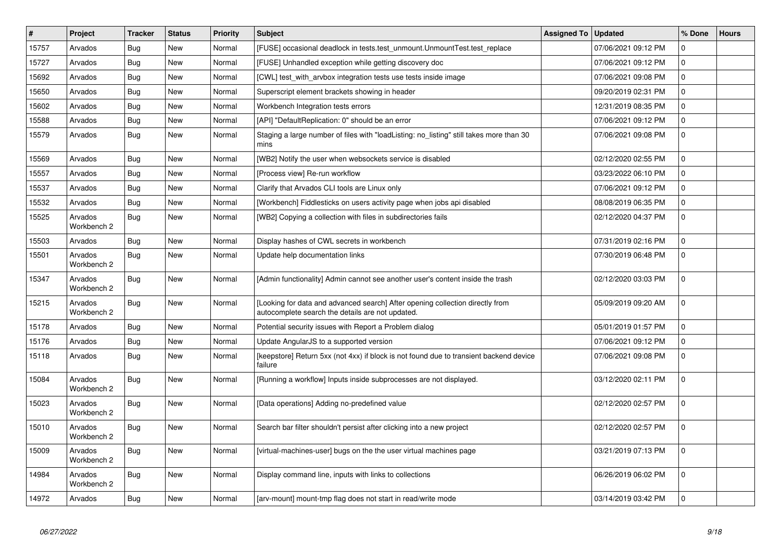| $\vert$ # | Project                | <b>Tracker</b> | <b>Status</b> | <b>Priority</b> | <b>Subject</b>                                                                                                                    | <b>Assigned To</b> | <b>Updated</b>      | % Done              | <b>Hours</b> |
|-----------|------------------------|----------------|---------------|-----------------|-----------------------------------------------------------------------------------------------------------------------------------|--------------------|---------------------|---------------------|--------------|
| 15757     | Arvados                | <b>Bug</b>     | <b>New</b>    | Normal          | [FUSE] occasional deadlock in tests.test_unmount.UnmountTest.test_replace                                                         |                    | 07/06/2021 09:12 PM | $\Omega$            |              |
| 15727     | Arvados                | Bug            | <b>New</b>    | Normal          | [FUSE] Unhandled exception while getting discovery doc                                                                            |                    | 07/06/2021 09:12 PM | $\Omega$            |              |
| 15692     | Arvados                | <b>Bug</b>     | <b>New</b>    | Normal          | [CWL] test_with_arvbox integration tests use tests inside image                                                                   |                    | 07/06/2021 09:08 PM | $\mathbf 0$         |              |
| 15650     | Arvados                | Bug            | <b>New</b>    | Normal          | Superscript element brackets showing in header                                                                                    |                    | 09/20/2019 02:31 PM | $\Omega$            |              |
| 15602     | Arvados                | Bug            | New           | Normal          | Workbench Integration tests errors                                                                                                |                    | 12/31/2019 08:35 PM | $\mathbf 0$         |              |
| 15588     | Arvados                | Bug            | <b>New</b>    | Normal          | [API] "DefaultReplication: 0" should be an error                                                                                  |                    | 07/06/2021 09:12 PM | $\mathbf 0$         |              |
| 15579     | Arvados                | <b>Bug</b>     | New           | Normal          | Staging a large number of files with "loadListing: no_listing" still takes more than 30<br>mins                                   |                    | 07/06/2021 09:08 PM | $\Omega$            |              |
| 15569     | Arvados                | Bug            | <b>New</b>    | Normal          | [WB2] Notify the user when websockets service is disabled                                                                         |                    | 02/12/2020 02:55 PM | $\Omega$            |              |
| 15557     | Arvados                | Bug            | <b>New</b>    | Normal          | [Process view] Re-run workflow                                                                                                    |                    | 03/23/2022 06:10 PM | $\Omega$            |              |
| 15537     | Arvados                | <b>Bug</b>     | New           | Normal          | Clarify that Arvados CLI tools are Linux only                                                                                     |                    | 07/06/2021 09:12 PM | $\mathsf{O}\xspace$ |              |
| 15532     | Arvados                | Bug            | New           | Normal          | [Workbench] Fiddlesticks on users activity page when jobs api disabled                                                            |                    | 08/08/2019 06:35 PM | $\mathbf 0$         |              |
| 15525     | Arvados<br>Workbench 2 | <b>Bug</b>     | <b>New</b>    | Normal          | [WB2] Copying a collection with files in subdirectories fails                                                                     |                    | 02/12/2020 04:37 PM | $\mathbf 0$         |              |
| 15503     | Arvados                | Bug            | <b>New</b>    | Normal          | Display hashes of CWL secrets in workbench                                                                                        |                    | 07/31/2019 02:16 PM | $\mathbf 0$         |              |
| 15501     | Arvados<br>Workbench 2 | Bug            | <b>New</b>    | Normal          | Update help documentation links                                                                                                   |                    | 07/30/2019 06:48 PM | $\Omega$            |              |
| 15347     | Arvados<br>Workbench 2 | Bug            | <b>New</b>    | Normal          | [Admin functionality] Admin cannot see another user's content inside the trash                                                    |                    | 02/12/2020 03:03 PM | $\Omega$            |              |
| 15215     | Arvados<br>Workbench 2 | Bug            | <b>New</b>    | Normal          | [Looking for data and advanced search] After opening collection directly from<br>autocomplete search the details are not updated. |                    | 05/09/2019 09:20 AM | $\mathbf 0$         |              |
| 15178     | Arvados                | <b>Bug</b>     | New           | Normal          | Potential security issues with Report a Problem dialog                                                                            |                    | 05/01/2019 01:57 PM | $\mathbf 0$         |              |
| 15176     | Arvados                | Bug            | New           | Normal          | Update AngularJS to a supported version                                                                                           |                    | 07/06/2021 09:12 PM | $\Omega$            |              |
| 15118     | Arvados                | Bug            | <b>New</b>    | Normal          | [keepstore] Return 5xx (not 4xx) if block is not found due to transient backend device<br>failure                                 |                    | 07/06/2021 09:08 PM | $\mathbf 0$         |              |
| 15084     | Arvados<br>Workbench 2 | Bug            | New           | Normal          | [Running a workflow] Inputs inside subprocesses are not displayed.                                                                |                    | 03/12/2020 02:11 PM | $\mathbf 0$         |              |
| 15023     | Arvados<br>Workbench 2 | Bug            | <b>New</b>    | Normal          | [Data operations] Adding no-predefined value                                                                                      |                    | 02/12/2020 02:57 PM | $\Omega$            |              |
| 15010     | Arvados<br>Workbench 2 | Bug            | New           | Normal          | Search bar filter shouldn't persist after clicking into a new project                                                             |                    | 02/12/2020 02:57 PM | 0 I                 |              |
| 15009     | Arvados<br>Workbench 2 | <b>Bug</b>     | New           | Normal          | [virtual-machines-user] bugs on the the user virtual machines page                                                                |                    | 03/21/2019 07:13 PM | $\mathbf 0$         |              |
| 14984     | Arvados<br>Workbench 2 | Bug            | <b>New</b>    | Normal          | Display command line, inputs with links to collections                                                                            |                    | 06/26/2019 06:02 PM | $\mathbf 0$         |              |
| 14972     | Arvados                | Bug            | New           | Normal          | [arv-mount] mount-tmp flag does not start in read/write mode                                                                      |                    | 03/14/2019 03:42 PM | $\mathbf 0$         |              |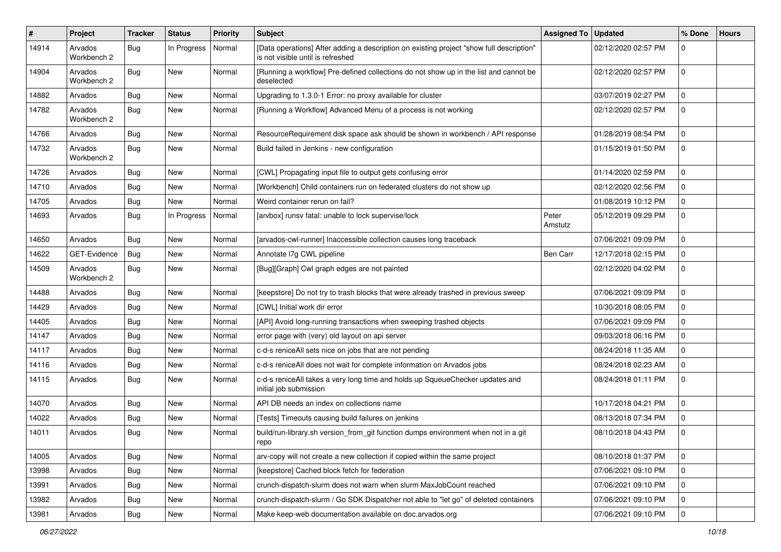| #     | Project                | <b>Tracker</b> | <b>Status</b> | <b>Priority</b> | <b>Subject</b>                                                                                                                | Assigned To      | <b>Updated</b>      | % Done      | <b>Hours</b> |
|-------|------------------------|----------------|---------------|-----------------|-------------------------------------------------------------------------------------------------------------------------------|------------------|---------------------|-------------|--------------|
| 14914 | Arvados<br>Workbench 2 | Bug            | In Progress   | Normal          | [Data operations] After adding a description on existing project "show full description"<br>is not visible until is refreshed |                  | 02/12/2020 02:57 PM | 0           |              |
| 14904 | Arvados<br>Workbench 2 | Bug            | <b>New</b>    | Normal          | [Running a workflow] Pre-defined collections do not show up in the list and cannot be<br>deselected                           |                  | 02/12/2020 02:57 PM | $\mathbf 0$ |              |
| 14882 | Arvados                | Bug            | <b>New</b>    | Normal          | Upgrading to 1.3.0-1 Error: no proxy available for cluster                                                                    |                  | 03/07/2019 02:27 PM | $\mathbf 0$ |              |
| 14782 | Arvados<br>Workbench 2 | Bug            | New           | Normal          | [Running a Workflow] Advanced Menu of a process is not working                                                                |                  | 02/12/2020 02:57 PM | $\mathbf 0$ |              |
| 14766 | Arvados                | Bug            | New           | Normal          | ResourceRequirement disk space ask should be shown in workbench / API response                                                |                  | 01/28/2019 08:54 PM | $\mathbf 0$ |              |
| 14732 | Arvados<br>Workbench 2 | Bug            | New           | Normal          | Build failed in Jenkins - new configuration                                                                                   |                  | 01/15/2019 01:50 PM | $\mathbf 0$ |              |
| 14726 | Arvados                | Bug            | New           | Normal          | [CWL] Propagating input file to output gets confusing error                                                                   |                  | 01/14/2020 02:59 PM | $\mathbf 0$ |              |
| 14710 | Arvados                | Bug            | <b>New</b>    | Normal          | [Workbench] Child containers run on federated clusters do not show up                                                         |                  | 02/12/2020 02:56 PM | $\mathbf 0$ |              |
| 14705 | Arvados                | Bug            | <b>New</b>    | Normal          | Weird container rerun on fail?                                                                                                |                  | 01/08/2019 10:12 PM | $\mathbf 0$ |              |
| 14693 | Arvados                | <b>Bug</b>     | In Progress   | Normal          | [arvbox] runsv fatal: unable to lock supervise/lock                                                                           | Peter<br>Amstutz | 05/12/2019 09:29 PM | $\mathbf 0$ |              |
| 14650 | Arvados                | Bug            | New           | Normal          | [arvados-cwl-runner] Inaccessible collection causes long traceback                                                            |                  | 07/06/2021 09:09 PM | $\mathbf 0$ |              |
| 14622 | GET-Evidence           | Bug            | <b>New</b>    | Normal          | Annotate I7g CWL pipeline                                                                                                     | Ben Carr         | 12/17/2018 02:15 PM | $\mathbf 0$ |              |
| 14509 | Arvados<br>Workbench 2 | Bug            | New           | Normal          | [Bug][Graph] Cwl graph edges are not painted                                                                                  |                  | 02/12/2020 04:02 PM | $\mathbf 0$ |              |
| 14488 | Arvados                | Bug            | <b>New</b>    | Normal          | [keepstore] Do not try to trash blocks that were already trashed in previous sweep                                            |                  | 07/06/2021 09:09 PM | $\mathbf 0$ |              |
| 14429 | Arvados                | Bug            | <b>New</b>    | Normal          | [CWL] Initial work dir error                                                                                                  |                  | 10/30/2018 08:05 PM | $\mathbf 0$ |              |
| 14405 | Arvados                | <b>Bug</b>     | New           | Normal          | [API] Avoid long-running transactions when sweeping trashed objects                                                           |                  | 07/06/2021 09:09 PM | $\mathbf 0$ |              |
| 14147 | Arvados                | Bug            | <b>New</b>    | Normal          | error page with (very) old layout on api server                                                                               |                  | 09/03/2018 06:16 PM | $\mathbf 0$ |              |
| 14117 | Arvados                | <b>Bug</b>     | New           | Normal          | c-d-s reniceAll sets nice on jobs that are not pending                                                                        |                  | 08/24/2018 11:35 AM | $\mathbf 0$ |              |
| 14116 | Arvados                | <b>Bug</b>     | <b>New</b>    | Normal          | c-d-s reniceAll does not wait for complete information on Arvados jobs                                                        |                  | 08/24/2018 02:23 AM | $\mathbf 0$ |              |
| 14115 | Arvados                | <b>Bug</b>     | New           | Normal          | c-d-s reniceAll takes a very long time and holds up SqueueChecker updates and<br>initial job submission                       |                  | 08/24/2018 01:11 PM | 0           |              |
| 14070 | Arvados                | Bug            | <b>New</b>    | Normal          | API DB needs an index on collections name                                                                                     |                  | 10/17/2018 04:21 PM | $\mathbf 0$ |              |
| 14022 | Arvados                | Bug            | <b>New</b>    | Normal          | [Tests] Timeouts causing build failures on jenkins                                                                            |                  | 08/13/2018 07:34 PM | $\mathbf 0$ |              |
| 14011 | Arvados                | <b>Bug</b>     | New           | Normal          | build/run-library.sh version_from_git function dumps environment when not in a git<br>repo                                    |                  | 08/10/2018 04:43 PM | $\mathbf 0$ |              |
| 14005 | Arvados                | Bug            | New           | Normal          | arv-copy will not create a new collection if copied within the same project                                                   |                  | 08/10/2018 01:37 PM | 0           |              |
| 13998 | Arvados                | Bug            | New           | Normal          | [keepstore] Cached block fetch for federation                                                                                 |                  | 07/06/2021 09:10 PM | $\mathbf 0$ |              |
| 13991 | Arvados                | Bug            | <b>New</b>    | Normal          | crunch-dispatch-slurm does not warn when slurm MaxJobCount reached                                                            |                  | 07/06/2021 09:10 PM | 0           |              |
| 13982 | Arvados                | <b>Bug</b>     | New           | Normal          | crunch-dispatch-slurm / Go SDK Dispatcher not able to "let go" of deleted containers                                          |                  | 07/06/2021 09:10 PM | 0           |              |
| 13981 | Arvados                | <b>Bug</b>     | New           | Normal          | Make keep-web documentation available on doc.arvados.org                                                                      |                  | 07/06/2021 09:10 PM | 0           |              |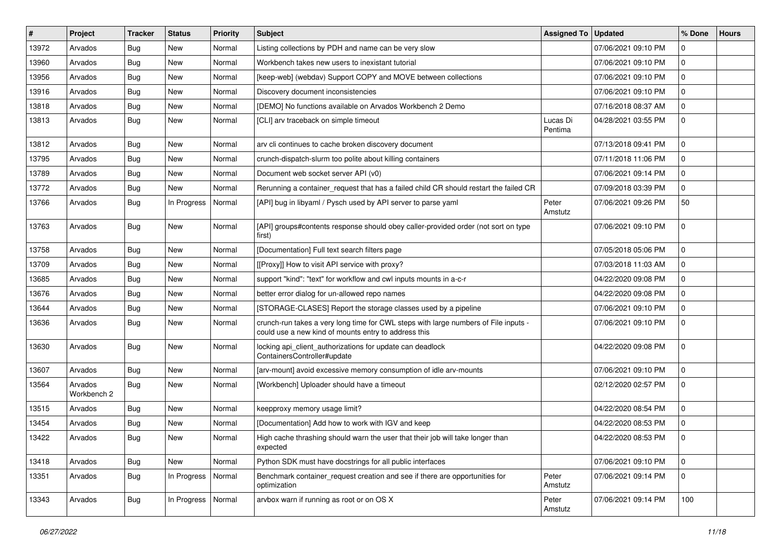| #     | Project                | Tracker    | <b>Status</b> | <b>Priority</b> | <b>Subject</b>                                                                                                                              | <b>Assigned To</b>  | <b>Updated</b>      | % Done      | <b>Hours</b> |
|-------|------------------------|------------|---------------|-----------------|---------------------------------------------------------------------------------------------------------------------------------------------|---------------------|---------------------|-------------|--------------|
| 13972 | Arvados                | <b>Bug</b> | New           | Normal          | Listing collections by PDH and name can be very slow                                                                                        |                     | 07/06/2021 09:10 PM | $\mathbf 0$ |              |
| 13960 | Arvados                | Bug        | <b>New</b>    | Normal          | Workbench takes new users to inexistant tutorial                                                                                            |                     | 07/06/2021 09:10 PM | 0           |              |
| 13956 | Arvados                | <b>Bug</b> | New           | Normal          | [keep-web] (webdav) Support COPY and MOVE between collections                                                                               |                     | 07/06/2021 09:10 PM | $\mathbf 0$ |              |
| 13916 | Arvados                | <b>Bug</b> | New           | Normal          | Discovery document inconsistencies                                                                                                          |                     | 07/06/2021 09:10 PM | $\mathbf 0$ |              |
| 13818 | Arvados                | <b>Bug</b> | New           | Normal          | [DEMO] No functions available on Arvados Workbench 2 Demo                                                                                   |                     | 07/16/2018 08:37 AM | 0           |              |
| 13813 | Arvados                | <b>Bug</b> | New           | Normal          | [CLI] arv traceback on simple timeout                                                                                                       | Lucas Di<br>Pentima | 04/28/2021 03:55 PM | $\mathbf 0$ |              |
| 13812 | Arvados                | Bug        | New           | Normal          | arv cli continues to cache broken discovery document                                                                                        |                     | 07/13/2018 09:41 PM | 0           |              |
| 13795 | Arvados                | <b>Bug</b> | <b>New</b>    | Normal          | crunch-dispatch-slurm too polite about killing containers                                                                                   |                     | 07/11/2018 11:06 PM | 0           |              |
| 13789 | Arvados                | Bug        | <b>New</b>    | Normal          | Document web socket server API (v0)                                                                                                         |                     | 07/06/2021 09:14 PM | 0           |              |
| 13772 | Arvados                | <b>Bug</b> | <b>New</b>    | Normal          | Rerunning a container_request that has a failed child CR should restart the failed CR                                                       |                     | 07/09/2018 03:39 PM | 0           |              |
| 13766 | Arvados                | Bug        | In Progress   | Normal          | [API] bug in libyaml / Pysch used by API server to parse yaml                                                                               | Peter<br>Amstutz    | 07/06/2021 09:26 PM | 50          |              |
| 13763 | Arvados                | <b>Bug</b> | New           | Normal          | [API] groups#contents response should obey caller-provided order (not sort on type<br>first)                                                |                     | 07/06/2021 09:10 PM | $\mathbf 0$ |              |
| 13758 | Arvados                | <b>Bug</b> | New           | Normal          | [Documentation] Full text search filters page                                                                                               |                     | 07/05/2018 05:06 PM | $\mathbf 0$ |              |
| 13709 | Arvados                | <b>Bug</b> | <b>New</b>    | Normal          | [[Proxy]] How to visit API service with proxy?                                                                                              |                     | 07/03/2018 11:03 AM | $\mathbf 0$ |              |
| 13685 | Arvados                | Bug        | <b>New</b>    | Normal          | support "kind": "text" for workflow and cwl inputs mounts in a-c-r                                                                          |                     | 04/22/2020 09:08 PM | 0           |              |
| 13676 | Arvados                | <b>Bug</b> | New           | Normal          | better error dialog for un-allowed repo names                                                                                               |                     | 04/22/2020 09:08 PM | 0           |              |
| 13644 | Arvados                | <b>Bug</b> | New           | Normal          | [STORAGE-CLASES] Report the storage classes used by a pipeline                                                                              |                     | 07/06/2021 09:10 PM | $\mathbf 0$ |              |
| 13636 | Arvados                | Bug        | New           | Normal          | crunch-run takes a very long time for CWL steps with large numbers of File inputs -<br>could use a new kind of mounts entry to address this |                     | 07/06/2021 09:10 PM | $\mathbf 0$ |              |
| 13630 | Arvados                | Bug        | New           | Normal          | locking api_client_authorizations for update can deadlock<br>ContainersController#update                                                    |                     | 04/22/2020 09:08 PM | $\mathbf 0$ |              |
| 13607 | Arvados                | <b>Bug</b> | <b>New</b>    | Normal          | [arv-mount] avoid excessive memory consumption of idle arv-mounts                                                                           |                     | 07/06/2021 09:10 PM | 0           |              |
| 13564 | Arvados<br>Workbench 2 | <b>Bug</b> | New           | Normal          | [Workbench] Uploader should have a timeout                                                                                                  |                     | 02/12/2020 02:57 PM | $\mathbf 0$ |              |
| 13515 | Arvados                | Bug        | New           | Normal          | keepproxy memory usage limit?                                                                                                               |                     | 04/22/2020 08:54 PM | $\mathbf 0$ |              |
| 13454 | Arvados                | Bug        | <b>New</b>    | Normal          | [Documentation] Add how to work with IGV and keep                                                                                           |                     | 04/22/2020 08:53 PM | 0           |              |
| 13422 | Arvados                | Bug        | New           | Normal          | High cache thrashing should warn the user that their job will take longer than<br>expected                                                  |                     | 04/22/2020 08:53 PM | $\mathbf 0$ |              |
| 13418 | Arvados                | Bug        | New           | Normal          | Python SDK must have docstrings for all public interfaces                                                                                   |                     | 07/06/2021 09:10 PM | $\mathbf 0$ |              |
| 13351 | Arvados                | Bug        | In Progress   | Normal          | Benchmark container_request creation and see if there are opportunities for<br>optimization                                                 | Peter<br>Amstutz    | 07/06/2021 09:14 PM | $\mathbf 0$ |              |
| 13343 | Arvados                | Bug        | In Progress   | Normal          | arvbox warn if running as root or on OS X                                                                                                   | Peter<br>Amstutz    | 07/06/2021 09:14 PM | 100         |              |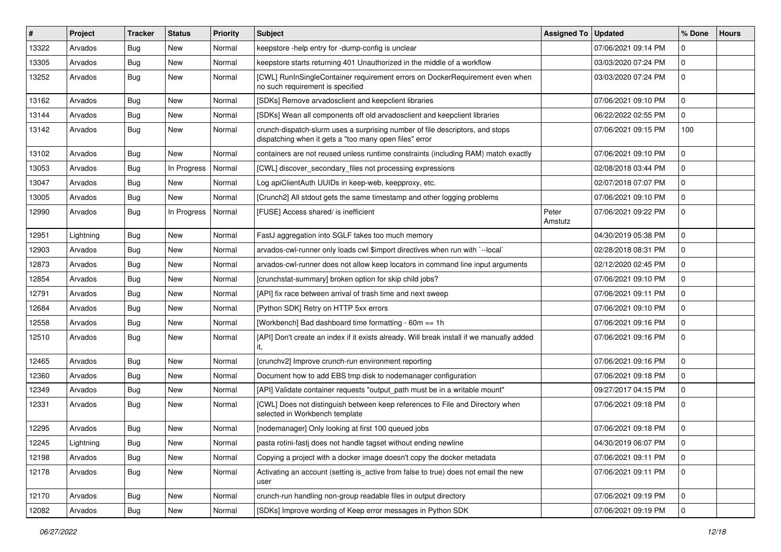| #     | Project   | <b>Tracker</b> | <b>Status</b> | Priority | <b>Subject</b>                                                                                                                          | <b>Assigned To</b> | <b>Updated</b>      | % Done       | <b>Hours</b> |
|-------|-----------|----------------|---------------|----------|-----------------------------------------------------------------------------------------------------------------------------------------|--------------------|---------------------|--------------|--------------|
| 13322 | Arvados   | <b>Bug</b>     | New           | Normal   | keepstore -help entry for -dump-config is unclear                                                                                       |                    | 07/06/2021 09:14 PM | $\mathbf 0$  |              |
| 13305 | Arvados   | <b>Bug</b>     | <b>New</b>    | Normal   | keepstore starts returning 401 Unauthorized in the middle of a workflow                                                                 |                    | 03/03/2020 07:24 PM | 0            |              |
| 13252 | Arvados   | <b>Bug</b>     | New           | Normal   | [CWL] RunInSingleContainer requirement errors on DockerRequirement even when<br>no such requirement is specified                        |                    | 03/03/2020 07:24 PM | $\mathbf{0}$ |              |
| 13162 | Arvados   | <b>Bug</b>     | <b>New</b>    | Normal   | [SDKs] Remove arvadosclient and keepclient libraries                                                                                    |                    | 07/06/2021 09:10 PM | 0            |              |
| 13144 | Arvados   | <b>Bug</b>     | New           | Normal   | [SDKs] Wean all components off old arvadosclient and keepclient libraries                                                               |                    | 06/22/2022 02:55 PM | $\mathbf{0}$ |              |
| 13142 | Arvados   | <b>Bug</b>     | New           | Normal   | crunch-dispatch-slurm uses a surprising number of file descriptors, and stops<br>dispatching when it gets a "too many open files" error |                    | 07/06/2021 09:15 PM | 100          |              |
| 13102 | Arvados   | <b>Bug</b>     | New           | Normal   | containers are not reused unless runtime constraints (including RAM) match exactly                                                      |                    | 07/06/2021 09:10 PM | 0            |              |
| 13053 | Arvados   | Bug            | In Progress   | Normal   | [CWL] discover_secondary_files not processing expressions                                                                               |                    | 02/08/2018 03:44 PM | $\mathbf{0}$ |              |
| 13047 | Arvados   | <b>Bug</b>     | New           | Normal   | Log apiClientAuth UUIDs in keep-web, keepproxy, etc.                                                                                    |                    | 02/07/2018 07:07 PM | 0            |              |
| 13005 | Arvados   | <b>Bug</b>     | New           | Normal   | [Crunch2] All stdout gets the same timestamp and other logging problems                                                                 |                    | 07/06/2021 09:10 PM | $\mathbf 0$  |              |
| 12990 | Arvados   | <b>Bug</b>     | In Progress   | Normal   | [FUSE] Access shared/ is inefficient                                                                                                    | Peter<br>Amstutz   | 07/06/2021 09:22 PM | $\mathbf 0$  |              |
| 12951 | Lightning | <b>Bug</b>     | New           | Normal   | FastJ aggregation into SGLF takes too much memory                                                                                       |                    | 04/30/2019 05:38 PM | $\mathbf 0$  |              |
| 12903 | Arvados   | Bug            | New           | Normal   | arvados-cwl-runner only loads cwl \$import directives when run with `--local`                                                           |                    | 02/28/2018 08:31 PM | 0            |              |
| 12873 | Arvados   | <b>Bug</b>     | New           | Normal   | arvados-cwl-runner does not allow keep locators in command line input arguments                                                         |                    | 02/12/2020 02:45 PM | 0            |              |
| 12854 | Arvados   | Bug            | <b>New</b>    | Normal   | [crunchstat-summary] broken option for skip child jobs?                                                                                 |                    | 07/06/2021 09:10 PM | 0            |              |
| 12791 | Arvados   | Bug            | New           | Normal   | [API] fix race between arrival of trash time and next sweep                                                                             |                    | 07/06/2021 09:11 PM | $\mathbf 0$  |              |
| 12684 | Arvados   | <b>Bug</b>     | New           | Normal   | [Python SDK] Retry on HTTP 5xx errors                                                                                                   |                    | 07/06/2021 09:10 PM | $\mathbf 0$  |              |
| 12558 | Arvados   | <b>Bug</b>     | New           | Normal   | [Workbench] Bad dashboard time formatting - 60m == 1h                                                                                   |                    | 07/06/2021 09:16 PM | 0            |              |
| 12510 | Arvados   | <b>Bug</b>     | New           | Normal   | [API] Don't create an index if it exists already. Will break install if we manually added<br>it,                                        |                    | 07/06/2021 09:16 PM | $\mathbf 0$  |              |
| 12465 | Arvados   | Bug            | New           | Normal   | [crunchv2] Improve crunch-run environment reporting                                                                                     |                    | 07/06/2021 09:16 PM | 0            |              |
| 12360 | Arvados   | <b>Bug</b>     | <b>New</b>    | Normal   | Document how to add EBS tmp disk to nodemanager configuration                                                                           |                    | 07/06/2021 09:18 PM | 0            |              |
| 12349 | Arvados   | <b>Bug</b>     | New           | Normal   | [API] Validate container requests "output_path must be in a writable mount"                                                             |                    | 09/27/2017 04:15 PM | $\mathbf{0}$ |              |
| 12331 | Arvados   | <b>Bug</b>     | New           | Normal   | [CWL] Does not distinguish between keep references to File and Directory when<br>selected in Workbench template                         |                    | 07/06/2021 09:18 PM | $\mathbf 0$  |              |
| 12295 | Arvados   | Bug            | New           | Normal   | [nodemanager] Only looking at first 100 queued jobs                                                                                     |                    | 07/06/2021 09:18 PM | 0            |              |
| 12245 | Lightning | <b>Bug</b>     | New           | Normal   | pasta rotini-fastj does not handle tagset without ending newline                                                                        |                    | 04/30/2019 06:07 PM | 0            |              |
| 12198 | Arvados   | Bug            | New           | Normal   | Copying a project with a docker image doesn't copy the docker metadata                                                                  |                    | 07/06/2021 09:11 PM | $\mathbf 0$  |              |
| 12178 | Arvados   | Bug            | New           | Normal   | Activating an account (setting is_active from false to true) does not email the new<br>user                                             |                    | 07/06/2021 09:11 PM | 0            |              |
| 12170 | Arvados   | Bug            | New           | Normal   | crunch-run handling non-group readable files in output directory                                                                        |                    | 07/06/2021 09:19 PM | 0            |              |
| 12082 | Arvados   | Bug            | New           | Normal   | [SDKs] Improve wording of Keep error messages in Python SDK                                                                             |                    | 07/06/2021 09:19 PM | $\mathbf 0$  |              |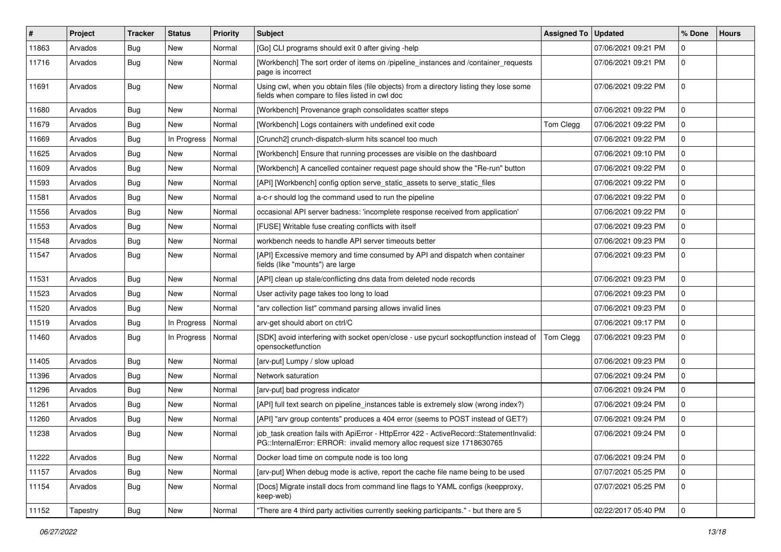| #     | Project  | Tracker    | <b>Status</b> | <b>Priority</b> | Subject                                                                                                                                                           | Assigned To | <b>Updated</b>      | % Done      | <b>Hours</b> |
|-------|----------|------------|---------------|-----------------|-------------------------------------------------------------------------------------------------------------------------------------------------------------------|-------------|---------------------|-------------|--------------|
| 11863 | Arvados  | <b>Bug</b> | New           | Normal          | [Go] CLI programs should exit 0 after giving -help                                                                                                                |             | 07/06/2021 09:21 PM | $\Omega$    |              |
| 11716 | Arvados  | <b>Bug</b> | New           | Normal          | [Workbench] The sort order of items on /pipeline_instances and /container_requests<br>page is incorrect                                                           |             | 07/06/2021 09:21 PM | $\mathbf 0$ |              |
| 11691 | Arvados  | Bug        | New           | Normal          | Using cwl, when you obtain files (file objects) from a directory listing they lose some<br>fields when compare to files listed in cwl doc                         |             | 07/06/2021 09:22 PM | $\mathbf 0$ |              |
| 11680 | Arvados  | <b>Bug</b> | New           | Normal          | [Workbench] Provenance graph consolidates scatter steps                                                                                                           |             | 07/06/2021 09:22 PM | $\mathbf 0$ |              |
| 11679 | Arvados  | <b>Bug</b> | New           | Normal          | [Workbench] Logs containers with undefined exit code                                                                                                              | Tom Clegg   | 07/06/2021 09:22 PM | $\mathbf 0$ |              |
| 11669 | Arvados  | Bug        | In Progress   | Normal          | [Crunch2] crunch-dispatch-slurm hits scancel too much                                                                                                             |             | 07/06/2021 09:22 PM | 0           |              |
| 11625 | Arvados  | Bug        | New           | Normal          | [Workbench] Ensure that running processes are visible on the dashboard                                                                                            |             | 07/06/2021 09:10 PM | $\Omega$    |              |
| 11609 | Arvados  | Bug        | New           | Normal          | [Workbench] A cancelled container request page should show the "Re-run" button                                                                                    |             | 07/06/2021 09:22 PM | $\mathbf 0$ |              |
| 11593 | Arvados  | <b>Bug</b> | New           | Normal          | [API] [Workbench] config option serve static assets to serve static files                                                                                         |             | 07/06/2021 09:22 PM | $\mathbf 0$ |              |
| 11581 | Arvados  | Bug        | New           | Normal          | a-c-r should log the command used to run the pipeline                                                                                                             |             | 07/06/2021 09:22 PM | $\mathbf 0$ |              |
| 11556 | Arvados  | Bug        | <b>New</b>    | Normal          | occasional API server badness: 'incomplete response received from application'                                                                                    |             | 07/06/2021 09:22 PM | $\mathbf 0$ |              |
| 11553 | Arvados  | Bug        | New           | Normal          | [FUSE] Writable fuse creating conflicts with itself                                                                                                               |             | 07/06/2021 09:23 PM | $\mathbf 0$ |              |
| 11548 | Arvados  | <b>Bug</b> | <b>New</b>    | Normal          | workbench needs to handle API server timeouts better                                                                                                              |             | 07/06/2021 09:23 PM | $\mathbf 0$ |              |
| 11547 | Arvados  | Bug        | New           | Normal          | [API] Excessive memory and time consumed by API and dispatch when container<br>fields (like "mounts") are large                                                   |             | 07/06/2021 09:23 PM | $\mathbf 0$ |              |
| 11531 | Arvados  | Bug        | New           | Normal          | [API] clean up stale/conflicting dns data from deleted node records                                                                                               |             | 07/06/2021 09:23 PM | $\mathbf 0$ |              |
| 11523 | Arvados  | <b>Bug</b> | New           | Normal          | User activity page takes too long to load                                                                                                                         |             | 07/06/2021 09:23 PM | $\mathbf 0$ |              |
| 11520 | Arvados  | Bug        | New           | Normal          | "arv collection list" command parsing allows invalid lines                                                                                                        |             | 07/06/2021 09:23 PM | $\mathbf 0$ |              |
| 11519 | Arvados  | Bug        | In Progress   | Normal          | arv-get should abort on ctrl/C                                                                                                                                    |             | 07/06/2021 09:17 PM | $\mathbf 0$ |              |
| 11460 | Arvados  | <b>Bug</b> | In Progress   | Normal          | [SDK] avoid interfering with socket open/close - use pycurl sockoptfunction instead of<br>opensocketfunction                                                      | Tom Clegg   | 07/06/2021 09:23 PM | $\mathbf 0$ |              |
| 11405 | Arvados  | Bug        | New           | Normal          | [arv-put] Lumpy / slow upload                                                                                                                                     |             | 07/06/2021 09:23 PM | $\mathbf 0$ |              |
| 11396 | Arvados  | <b>Bug</b> | <b>New</b>    | Normal          | Network saturation                                                                                                                                                |             | 07/06/2021 09:24 PM | $\mathbf 0$ |              |
| 11296 | Arvados  | Bug        | New           | Normal          | [arv-put] bad progress indicator                                                                                                                                  |             | 07/06/2021 09:24 PM | $\mathbf 0$ |              |
| 11261 | Arvados  | <b>Bug</b> | New           | Normal          | [API] full text search on pipeline_instances table is extremely slow (wrong index?)                                                                               |             | 07/06/2021 09:24 PM | $\mathbf 0$ |              |
| 11260 | Arvados  | <b>Bug</b> | New           | Normal          | [API] "arv group contents" produces a 404 error (seems to POST instead of GET?)                                                                                   |             | 07/06/2021 09:24 PM | $\mathbf 0$ |              |
| 11238 | Arvados  | <b>Bug</b> | New           | Normal          | job_task creation fails with ApiError - HttpError 422 - ActiveRecord::StatementInvalid:<br>PG::InternalError: ERROR: invalid memory alloc request size 1718630765 |             | 07/06/2021 09:24 PM | $\mathbf 0$ |              |
| 11222 | Arvados  | <b>Bug</b> | New           | Normal          | Docker load time on compute node is too long                                                                                                                      |             | 07/06/2021 09:24 PM | 0           |              |
| 11157 | Arvados  | <b>Bug</b> | New           | Normal          | [arv-put] When debug mode is active, report the cache file name being to be used                                                                                  |             | 07/07/2021 05:25 PM | 0           |              |
| 11154 | Arvados  | Bug        | New           | Normal          | [Docs] Migrate install docs from command line flags to YAML configs (keepproxy,<br>keep-web)                                                                      |             | 07/07/2021 05:25 PM | $\mathbf 0$ |              |
| 11152 | Tapestry | <b>Bug</b> | New           | Normal          | "There are 4 third party activities currently seeking participants." - but there are 5                                                                            |             | 02/22/2017 05:40 PM | $\mathbf 0$ |              |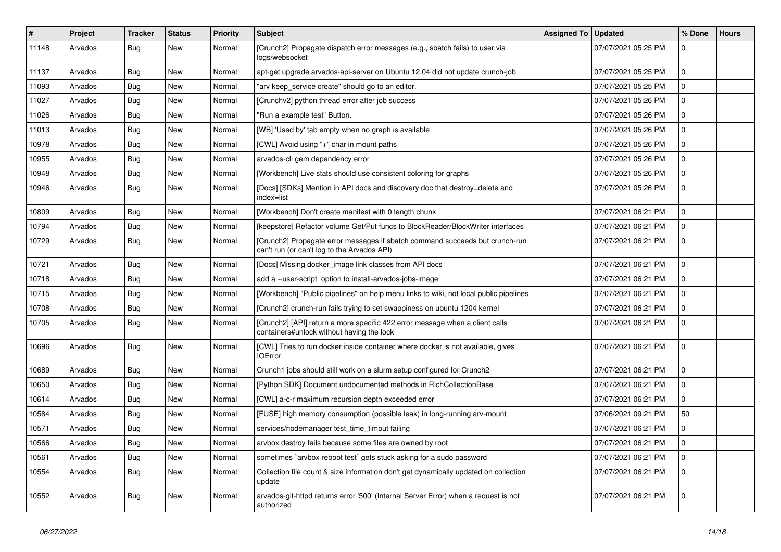| $\#$  | Project | <b>Tracker</b> | <b>Status</b> | <b>Priority</b> | <b>Subject</b>                                                                                                              | Assigned To | <b>Updated</b>      | % Done              | <b>Hours</b> |
|-------|---------|----------------|---------------|-----------------|-----------------------------------------------------------------------------------------------------------------------------|-------------|---------------------|---------------------|--------------|
| 11148 | Arvados | Bug            | New           | Normal          | [Crunch2] Propagate dispatch error messages (e.g., sbatch fails) to user via<br>logs/websocket                              |             | 07/07/2021 05:25 PM | $\Omega$            |              |
| 11137 | Arvados | <b>Bug</b>     | <b>New</b>    | Normal          | apt-get upgrade arvados-api-server on Ubuntu 12.04 did not update crunch-job                                                |             | 07/07/2021 05:25 PM | $\Omega$            |              |
| 11093 | Arvados | Bug            | <b>New</b>    | Normal          | "arv keep service create" should go to an editor.                                                                           |             | 07/07/2021 05:25 PM | $\mathbf 0$         |              |
| 11027 | Arvados | Bug            | <b>New</b>    | Normal          | [Crunchv2] python thread error after job success                                                                            |             | 07/07/2021 05:26 PM | $\mathbf 0$         |              |
| 11026 | Arvados | Bug            | <b>New</b>    | Normal          | "Run a example test" Button.                                                                                                |             | 07/07/2021 05:26 PM | $\mathbf 0$         |              |
| 11013 | Arvados | Bug            | New           | Normal          | [WB] 'Used by' tab empty when no graph is available                                                                         |             | 07/07/2021 05:26 PM | $\mathbf 0$         |              |
| 10978 | Arvados | Bug            | <b>New</b>    | Normal          | [CWL] Avoid using "+" char in mount paths                                                                                   |             | 07/07/2021 05:26 PM | $\mathbf 0$         |              |
| 10955 | Arvados | <b>Bug</b>     | <b>New</b>    | Normal          | arvados-cli gem dependency error                                                                                            |             | 07/07/2021 05:26 PM | $\mathbf 0$         |              |
| 10948 | Arvados | Bug            | <b>New</b>    | Normal          | [Workbench] Live stats should use consistent coloring for graphs                                                            |             | 07/07/2021 05:26 PM | $\mathbf 0$         |              |
| 10946 | Arvados | Bug            | New           | Normal          | [Docs] [SDKs] Mention in API docs and discovery doc that destroy=delete and<br>index=list                                   |             | 07/07/2021 05:26 PM | $\mathbf 0$         |              |
| 10809 | Arvados | Bug            | <b>New</b>    | Normal          | [Workbench] Don't create manifest with 0 length chunk                                                                       |             | 07/07/2021 06:21 PM | $\mathbf 0$         |              |
| 10794 | Arvados | Bug            | New           | Normal          | [keepstore] Refactor volume Get/Put funcs to BlockReader/BlockWriter interfaces                                             |             | 07/07/2021 06:21 PM | $\mathbf 0$         |              |
| 10729 | Arvados | Bug            | New           | Normal          | [Crunch2] Propagate error messages if sbatch command succeeds but crunch-run<br>can't run (or can't log to the Arvados API) |             | 07/07/2021 06:21 PM | $\mathbf{0}$        |              |
| 10721 | Arvados | Bug            | <b>New</b>    | Normal          | [Docs] Missing docker_image link classes from API docs                                                                      |             | 07/07/2021 06:21 PM | $\Omega$            |              |
| 10718 | Arvados | <b>Bug</b>     | <b>New</b>    | Normal          | add a --user-script option to install-arvados-jobs-image                                                                    |             | 07/07/2021 06:21 PM | $\Omega$            |              |
| 10715 | Arvados | <b>Bug</b>     | <b>New</b>    | Normal          | [Workbench] "Public pipelines" on help menu links to wiki, not local public pipelines                                       |             | 07/07/2021 06:21 PM | $\mathbf 0$         |              |
| 10708 | Arvados | <b>Bug</b>     | <b>New</b>    | Normal          | [Crunch2] crunch-run fails trying to set swappiness on ubuntu 1204 kernel                                                   |             | 07/07/2021 06:21 PM | $\mathbf 0$         |              |
| 10705 | Arvados | Bug            | <b>New</b>    | Normal          | [Crunch2] [API] return a more specific 422 error message when a client calls<br>containers#unlock without having the lock   |             | 07/07/2021 06:21 PM | $\mathbf 0$         |              |
| 10696 | Arvados | Bug            | New           | Normal          | [CWL] Tries to run docker inside container where docker is not available, gives<br><b>IOError</b>                           |             | 07/07/2021 06:21 PM | $\mathbf 0$         |              |
| 10689 | Arvados | Bug            | New           | Normal          | Crunch1 jobs should still work on a slurm setup configured for Crunch2                                                      |             | 07/07/2021 06:21 PM | 0                   |              |
| 10650 | Arvados | <b>Bug</b>     | <b>New</b>    | Normal          | [Python SDK] Document undocumented methods in RichCollectionBase                                                            |             | 07/07/2021 06:21 PM | $\mathbf 0$         |              |
| 10614 | Arvados | <b>Bug</b>     | <b>New</b>    | Normal          | [CWL] a-c-r maximum recursion depth exceeded error                                                                          |             | 07/07/2021 06:21 PM | $\mathbf 0$         |              |
| 10584 | Arvados | <b>Bug</b>     | <b>New</b>    | Normal          | [FUSE] high memory consumption (possible leak) in long-running arv-mount                                                    |             | 07/06/2021 09:21 PM | 50                  |              |
| 10571 | Arvados | <b>Bug</b>     | <b>New</b>    | Normal          | services/nodemanager test_time_timout failing                                                                               |             | 07/07/2021 06:21 PM | $\mathbf{0}$        |              |
| 10566 | Arvados | <b>Bug</b>     | <b>New</b>    | Normal          | arvbox destroy fails because some files are owned by root                                                                   |             | 07/07/2021 06:21 PM | $\mathbf 0$         |              |
| 10561 | Arvados | <b>Bug</b>     | <b>New</b>    | Normal          | sometimes `arvbox reboot test` gets stuck asking for a sudo password                                                        |             | 07/07/2021 06:21 PM | $\mathsf{O}\xspace$ |              |
| 10554 | Arvados | <b>Bug</b>     | New           | Normal          | Collection file count & size information don't get dynamically updated on collection<br>update                              |             | 07/07/2021 06:21 PM | $\mathbf 0$         |              |
| 10552 | Arvados | <b>Bug</b>     | New           | Normal          | arvados-git-httpd returns error '500' (Internal Server Error) when a request is not<br>authorized                           |             | 07/07/2021 06:21 PM | $\Omega$            |              |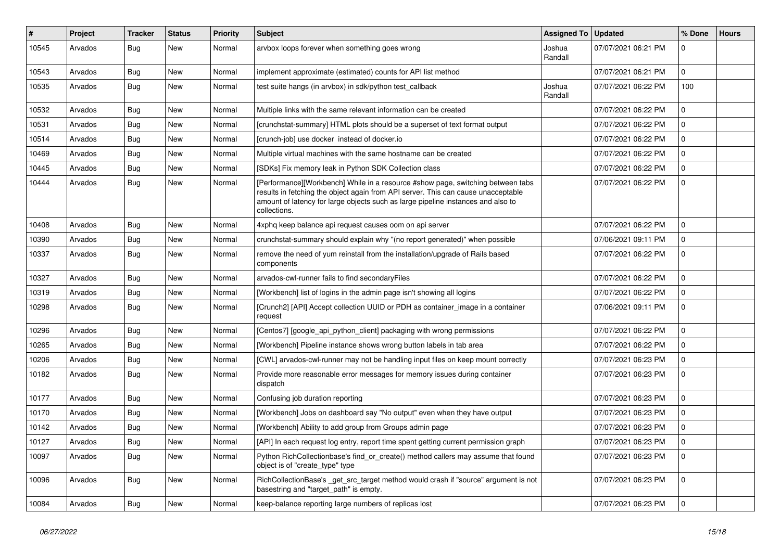| #     | Project | Tracker    | <b>Status</b> | <b>Priority</b> | <b>Subject</b>                                                                                                                                                                                                                                                           | <b>Assigned To</b> | <b>Updated</b>      | % Done       | <b>Hours</b> |
|-------|---------|------------|---------------|-----------------|--------------------------------------------------------------------------------------------------------------------------------------------------------------------------------------------------------------------------------------------------------------------------|--------------------|---------------------|--------------|--------------|
| 10545 | Arvados | <b>Bug</b> | New           | Normal          | arvbox loops forever when something goes wrong                                                                                                                                                                                                                           | Joshua<br>Randall  | 07/07/2021 06:21 PM | $\Omega$     |              |
| 10543 | Arvados | <b>Bug</b> | <b>New</b>    | Normal          | implement approximate (estimated) counts for API list method                                                                                                                                                                                                             |                    | 07/07/2021 06:21 PM | $\Omega$     |              |
| 10535 | Arvados | Bug        | New           | Normal          | test suite hangs (in arvbox) in sdk/python test_callback                                                                                                                                                                                                                 | Joshua<br>Randall  | 07/07/2021 06:22 PM | 100          |              |
| 10532 | Arvados | Bug        | New           | Normal          | Multiple links with the same relevant information can be created                                                                                                                                                                                                         |                    | 07/07/2021 06:22 PM | $\mathbf 0$  |              |
| 10531 | Arvados | Bug        | New           | Normal          | [crunchstat-summary] HTML plots should be a superset of text format output                                                                                                                                                                                               |                    | 07/07/2021 06:22 PM | 0            |              |
| 10514 | Arvados | Bug        | <b>New</b>    | Normal          | [crunch-job] use docker instead of docker.io                                                                                                                                                                                                                             |                    | 07/07/2021 06:22 PM | $\mathbf 0$  |              |
| 10469 | Arvados | Bug        | <b>New</b>    | Normal          | Multiple virtual machines with the same hostname can be created                                                                                                                                                                                                          |                    | 07/07/2021 06:22 PM | $\mathbf 0$  |              |
| 10445 | Arvados | Bug        | New           | Normal          | [SDKs] Fix memory leak in Python SDK Collection class                                                                                                                                                                                                                    |                    | 07/07/2021 06:22 PM | $\mathbf 0$  |              |
| 10444 | Arvados | Bug        | New           | Normal          | [Performance][Workbench] While in a resource #show page, switching between tabs<br>results in fetching the object again from API server. This can cause unacceptable<br>amount of latency for large objects such as large pipeline instances and also to<br>collections. |                    | 07/07/2021 06:22 PM | $\mathbf 0$  |              |
| 10408 | Arvados | Bug        | New           | Normal          | 4xphq keep balance api request causes oom on api server                                                                                                                                                                                                                  |                    | 07/07/2021 06:22 PM | $\mathbf 0$  |              |
| 10390 | Arvados | Bug        | New           | Normal          | crunchstat-summary should explain why "(no report generated)" when possible                                                                                                                                                                                              |                    | 07/06/2021 09:11 PM | $\mathbf 0$  |              |
| 10337 | Arvados | Bug        | New           | Normal          | remove the need of yum reinstall from the installation/upgrade of Rails based<br>components                                                                                                                                                                              |                    | 07/07/2021 06:22 PM | $\mathbf 0$  |              |
| 10327 | Arvados | Bug        | <b>New</b>    | Normal          | arvados-cwl-runner fails to find secondaryFiles                                                                                                                                                                                                                          |                    | 07/07/2021 06:22 PM | $\mathbf 0$  |              |
| 10319 | Arvados | Bug        | <b>New</b>    | Normal          | [Workbench] list of logins in the admin page isn't showing all logins                                                                                                                                                                                                    |                    | 07/07/2021 06:22 PM | 0            |              |
| 10298 | Arvados | <b>Bug</b> | New           | Normal          | [Crunch2] [API] Accept collection UUID or PDH as container_image in a container<br>request                                                                                                                                                                               |                    | 07/06/2021 09:11 PM | $\mathbf 0$  |              |
| 10296 | Arvados | Bug        | New           | Normal          | [Centos7] [google_api_python_client] packaging with wrong permissions                                                                                                                                                                                                    |                    | 07/07/2021 06:22 PM | $\Omega$     |              |
| 10265 | Arvados | Bug        | New           | Normal          | [Workbench] Pipeline instance shows wrong button labels in tab area                                                                                                                                                                                                      |                    | 07/07/2021 06:22 PM | $\mathbf{0}$ |              |
| 10206 | Arvados | <b>Bug</b> | New           | Normal          | [CWL] arvados-cwl-runner may not be handling input files on keep mount correctly                                                                                                                                                                                         |                    | 07/07/2021 06:23 PM | $\mathbf{0}$ |              |
| 10182 | Arvados | Bug        | New           | Normal          | Provide more reasonable error messages for memory issues during container<br>dispatch                                                                                                                                                                                    |                    | 07/07/2021 06:23 PM | $\mathbf{0}$ |              |
| 10177 | Arvados | Bug        | <b>New</b>    | Normal          | Confusing job duration reporting                                                                                                                                                                                                                                         |                    | 07/07/2021 06:23 PM | $\mathbf 0$  |              |
| 10170 | Arvados | Bug        | <b>New</b>    | Normal          | [Workbench] Jobs on dashboard say "No output" even when they have output                                                                                                                                                                                                 |                    | 07/07/2021 06:23 PM | $\mathbf 0$  |              |
| 10142 | Arvados | Bug        | <b>New</b>    | Normal          | [Workbench] Ability to add group from Groups admin page                                                                                                                                                                                                                  |                    | 07/07/2021 06:23 PM | $\mathbf 0$  |              |
| 10127 | Arvados | Bug        | <b>New</b>    | Normal          | [API] In each request log entry, report time spent getting current permission graph                                                                                                                                                                                      |                    | 07/07/2021 06:23 PM | $\mathbf{0}$ |              |
| 10097 | Arvados | Bug        | <b>New</b>    | Normal          | Python RichCollectionbase's find or create() method callers may assume that found<br>object is of "create type" type                                                                                                                                                     |                    | 07/07/2021 06:23 PM | 0            |              |
| 10096 | Arvados | Bug        | New           | Normal          | RichCollectionBase's get src target method would crash if "source" argument is not<br>basestring and "target path" is empty.                                                                                                                                             |                    | 07/07/2021 06:23 PM | $\mathbf{0}$ |              |
| 10084 | Arvados | <b>Bug</b> | New           | Normal          | keep-balance reporting large numbers of replicas lost                                                                                                                                                                                                                    |                    | 07/07/2021 06:23 PM | $\mathbf 0$  |              |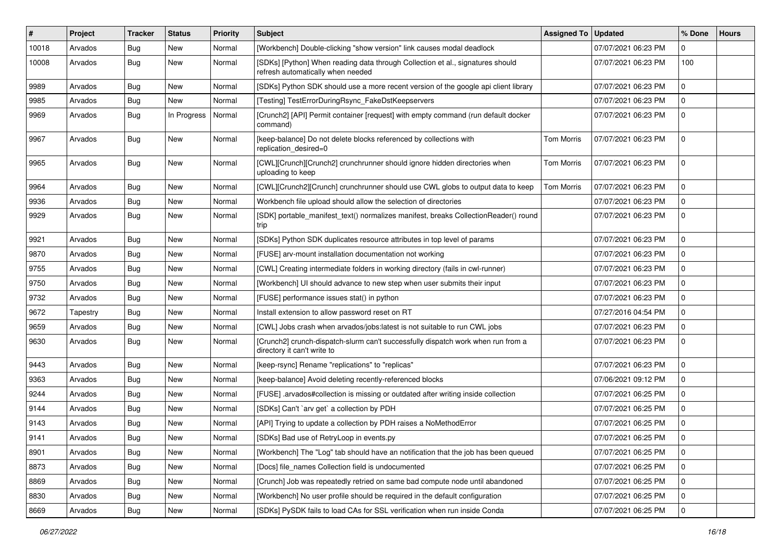| #     | Project  | <b>Tracker</b> | <b>Status</b> | <b>Priority</b> | Subject                                                                                                             | Assigned To   Updated |                     | % Done      | <b>Hours</b> |
|-------|----------|----------------|---------------|-----------------|---------------------------------------------------------------------------------------------------------------------|-----------------------|---------------------|-------------|--------------|
| 10018 | Arvados  | <b>Bug</b>     | <b>New</b>    | Normal          | [Workbench] Double-clicking "show version" link causes modal deadlock                                               |                       | 07/07/2021 06:23 PM | 0           |              |
| 10008 | Arvados  | Bug            | <b>New</b>    | Normal          | [SDKs] [Python] When reading data through Collection et al., signatures should<br>refresh automatically when needed |                       | 07/07/2021 06:23 PM | 100         |              |
| 9989  | Arvados  | Bug            | New           | Normal          | [SDKs] Python SDK should use a more recent version of the google api client library                                 |                       | 07/07/2021 06:23 PM | $\mathbf 0$ |              |
| 9985  | Arvados  | Bug            | <b>New</b>    | Normal          | [Testing] TestErrorDuringRsync_FakeDstKeepservers                                                                   |                       | 07/07/2021 06:23 PM | $\mathbf 0$ |              |
| 9969  | Arvados  | <b>Bug</b>     | In Progress   | Normal          | [Crunch2] [API] Permit container [request] with empty command (run default docker<br>command)                       |                       | 07/07/2021 06:23 PM | $\mathbf 0$ |              |
| 9967  | Arvados  | Bug            | New           | Normal          | [keep-balance] Do not delete blocks referenced by collections with<br>replication desired=0                         | <b>Tom Morris</b>     | 07/07/2021 06:23 PM | $\mathbf 0$ |              |
| 9965  | Arvados  | Bug            | <b>New</b>    | Normal          | [CWL][Crunch][Crunch2] crunchrunner should ignore hidden directories when<br>uploading to keep                      | <b>Tom Morris</b>     | 07/07/2021 06:23 PM | $\mathbf 0$ |              |
| 9964  | Arvados  | Bug            | <b>New</b>    | Normal          | [CWL][Crunch2][Crunch] crunchrunner should use CWL globs to output data to keep                                     | <b>Tom Morris</b>     | 07/07/2021 06:23 PM | $\mathbf 0$ |              |
| 9936  | Arvados  | Bug            | <b>New</b>    | Normal          | Workbench file upload should allow the selection of directories                                                     |                       | 07/07/2021 06:23 PM | $\mathbf 0$ |              |
| 9929  | Arvados  | Bug            | New           | Normal          | [SDK] portable manifest text() normalizes manifest, breaks CollectionReader() round<br>trip                         |                       | 07/07/2021 06:23 PM | $\mathbf 0$ |              |
| 9921  | Arvados  | <b>Bug</b>     | <b>New</b>    | Normal          | [SDKs] Python SDK duplicates resource attributes in top level of params                                             |                       | 07/07/2021 06:23 PM | $\mathbf 0$ |              |
| 9870  | Arvados  | <b>Bug</b>     | New           | Normal          | [FUSE] arv-mount installation documentation not working                                                             |                       | 07/07/2021 06:23 PM | $\mathbf 0$ |              |
| 9755  | Arvados  | <b>Bug</b>     | <b>New</b>    | Normal          | [CWL] Creating intermediate folders in working directory (fails in cwl-runner)                                      |                       | 07/07/2021 06:23 PM | $\mathbf 0$ |              |
| 9750  | Arvados  | Bug            | New           | Normal          | [Workbench] UI should advance to new step when user submits their input                                             |                       | 07/07/2021 06:23 PM | $\mathbf 0$ |              |
| 9732  | Arvados  | <b>Bug</b>     | New           | Normal          | [FUSE] performance issues stat() in python                                                                          |                       | 07/07/2021 06:23 PM | $\mathbf 0$ |              |
| 9672  | Tapestry | Bug            | <b>New</b>    | Normal          | Install extension to allow password reset on RT                                                                     |                       | 07/27/2016 04:54 PM | $\mathbf 0$ |              |
| 9659  | Arvados  | <b>Bug</b>     | New           | Normal          | [CWL] Jobs crash when arvados/jobs:latest is not suitable to run CWL jobs                                           |                       | 07/07/2021 06:23 PM | 0           |              |
| 9630  | Arvados  | Bug            | New           | Normal          | [Crunch2] crunch-dispatch-slurm can't successfully dispatch work when run from a<br>directory it can't write to     |                       | 07/07/2021 06:23 PM | $\mathbf 0$ |              |
| 9443  | Arvados  | Bug            | New           | Normal          | [keep-rsync] Rename "replications" to "replicas"                                                                    |                       | 07/07/2021 06:23 PM | $\Omega$    |              |
| 9363  | Arvados  | Bug            | <b>New</b>    | Normal          | [keep-balance] Avoid deleting recently-referenced blocks                                                            |                       | 07/06/2021 09:12 PM | $\mathbf 0$ |              |
| 9244  | Arvados  | <b>Bug</b>     | New           | Normal          | [FUSE] .arvados#collection is missing or outdated after writing inside collection                                   |                       | 07/07/2021 06:25 PM | 0           |              |
| 9144  | Arvados  | <b>Bug</b>     | New           | Normal          | [SDKs] Can't `arv get` a collection by PDH                                                                          |                       | 07/07/2021 06:25 PM | $\mathbf 0$ |              |
| 9143  | Arvados  | <b>Bug</b>     | <b>New</b>    | Normal          | [API] Trying to update a collection by PDH raises a NoMethodError                                                   |                       | 07/07/2021 06:25 PM | 0           |              |
| 9141  | Arvados  | <b>Bug</b>     | New           | Normal          | [SDKs] Bad use of RetryLoop in events.py                                                                            |                       | 07/07/2021 06:25 PM | $\mathbf 0$ |              |
| 8901  | Arvados  | Bug            | <b>New</b>    | Normal          | [Workbench] The "Log" tab should have an notification that the job has been queued                                  |                       | 07/07/2021 06:25 PM | $\mathbf 0$ |              |
| 8873  | Arvados  | Bug            | New           | Normal          | [Docs] file_names Collection field is undocumented                                                                  |                       | 07/07/2021 06:25 PM | $\mathbf 0$ |              |
| 8869  | Arvados  | Bug            | New           | Normal          | [Crunch] Job was repeatedly retried on same bad compute node until abandoned                                        |                       | 07/07/2021 06:25 PM | $\mathbf 0$ |              |
| 8830  | Arvados  | <b>Bug</b>     | New           | Normal          | [Workbench] No user profile should be required in the default configuration                                         |                       | 07/07/2021 06:25 PM | 0           |              |
| 8669  | Arvados  | <b>Bug</b>     | New           | Normal          | [SDKs] PySDK fails to load CAs for SSL verification when run inside Conda                                           |                       | 07/07/2021 06:25 PM | $\mathbf 0$ |              |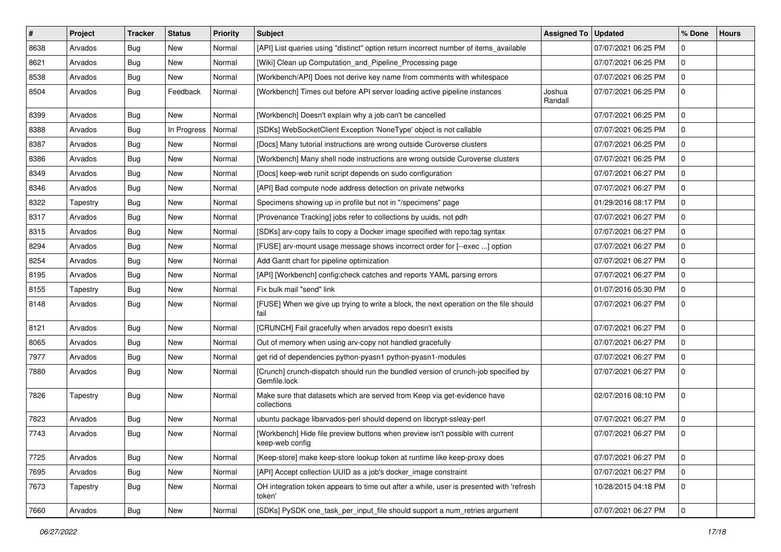| $\sharp$ | Project  | <b>Tracker</b> | <b>Status</b> | Priority | <b>Subject</b>                                                                                     | Assigned To       | <b>Updated</b>      | % Done      | <b>Hours</b> |
|----------|----------|----------------|---------------|----------|----------------------------------------------------------------------------------------------------|-------------------|---------------------|-------------|--------------|
| 8638     | Arvados  | <b>Bug</b>     | New           | Normal   | [API] List queries using "distinct" option return incorrect number of items_available              |                   | 07/07/2021 06:25 PM | 0           |              |
| 8621     | Arvados  | <b>Bug</b>     | <b>New</b>    | Normal   | [Wiki] Clean up Computation_and_Pipeline_Processing page                                           |                   | 07/07/2021 06:25 PM | $\mathbf 0$ |              |
| 8538     | Arvados  | <b>Bug</b>     | New           | Normal   | [Workbench/API] Does not derive key name from comments with whitespace                             |                   | 07/07/2021 06:25 PM | 0           |              |
| 8504     | Arvados  | <b>Bug</b>     | Feedback      | Normal   | [Workbench] Times out before API server loading active pipeline instances                          | Joshua<br>Randall | 07/07/2021 06:25 PM | $\mathbf 0$ |              |
| 8399     | Arvados  | <b>Bug</b>     | New           | Normal   | [Workbench] Doesn't explain why a job can't be cancelled                                           |                   | 07/07/2021 06:25 PM | 0           |              |
| 8388     | Arvados  | <b>Bug</b>     | In Progress   | Normal   | [SDKs] WebSocketClient Exception 'NoneType' object is not callable                                 |                   | 07/07/2021 06:25 PM | $\mathbf 0$ |              |
| 8387     | Arvados  | <b>Bug</b>     | New           | Normal   | [Docs] Many tutorial instructions are wrong outside Curoverse clusters                             |                   | 07/07/2021 06:25 PM | 0           |              |
| 8386     | Arvados  | <b>Bug</b>     | New           | Normal   | [Workbench] Many shell node instructions are wrong outside Curoverse clusters                      |                   | 07/07/2021 06:25 PM | $\mathbf 0$ |              |
| 8349     | Arvados  | <b>Bug</b>     | New           | Normal   | [Docs] keep-web runit script depends on sudo configuration                                         |                   | 07/07/2021 06:27 PM | $\mathbf 0$ |              |
| 8346     | Arvados  | <b>Bug</b>     | New           | Normal   | [API] Bad compute node address detection on private networks                                       |                   | 07/07/2021 06:27 PM | 0           |              |
| 8322     | Tapestry | <b>Bug</b>     | New           | Normal   | Specimens showing up in profile but not in "/specimens" page                                       |                   | 01/29/2016 08:17 PM | $\mathbf 0$ |              |
| 8317     | Arvados  | <b>Bug</b>     | New           | Normal   | [Provenance Tracking] jobs refer to collections by uuids, not pdh                                  |                   | 07/07/2021 06:27 PM | 0           |              |
| 8315     | Arvados  | <b>Bug</b>     | New           | Normal   | [SDKs] arv-copy fails to copy a Docker image specified with repo:tag syntax                        |                   | 07/07/2021 06:27 PM | 0           |              |
| 8294     | Arvados  | <b>Bug</b>     | New           | Normal   | [FUSE] arv-mount usage message shows incorrect order for [--exec ] option                          |                   | 07/07/2021 06:27 PM | $\mathbf 0$ |              |
| 8254     | Arvados  | <b>Bug</b>     | New           | Normal   | Add Gantt chart for pipeline optimization                                                          |                   | 07/07/2021 06:27 PM | 0           |              |
| 8195     | Arvados  | <b>Bug</b>     | New           | Normal   | [API] [Workbench] config:check catches and reports YAML parsing errors                             |                   | 07/07/2021 06:27 PM | $\mathbf 0$ |              |
| 8155     | Tapestry | <b>Bug</b>     | New           | Normal   | Fix bulk mail "send" link                                                                          |                   | 01/07/2016 05:30 PM | 0           |              |
| 8148     | Arvados  | <b>Bug</b>     | New           | Normal   | [FUSE] When we give up trying to write a block, the next operation on the file should<br>fail      |                   | 07/07/2021 06:27 PM | $\mathbf 0$ |              |
| 8121     | Arvados  | <b>Bug</b>     | New           | Normal   | [CRUNCH] Fail gracefully when arvados repo doesn't exists                                          |                   | 07/07/2021 06:27 PM | $\mathbf 0$ |              |
| 8065     | Arvados  | <b>Bug</b>     | New           | Normal   | Out of memory when using arv-copy not handled gracefully                                           |                   | 07/07/2021 06:27 PM | $\mathbf 0$ |              |
| 7977     | Arvados  | <b>Bug</b>     | <b>New</b>    | Normal   | get rid of dependencies python-pyasn1 python-pyasn1-modules                                        |                   | 07/07/2021 06:27 PM | $\mathbf 0$ |              |
| 7880     | Arvados  | <b>Bug</b>     | New           | Normal   | [Crunch] crunch-dispatch should run the bundled version of crunch-job specified by<br>Gemfile.lock |                   | 07/07/2021 06:27 PM | $\mathbf 0$ |              |
| 7826     | Tapestry | <b>Bug</b>     | New           | Normal   | Make sure that datasets which are served from Keep via get-evidence have<br>collections            |                   | 02/07/2016 08:10 PM | $\mathbf 0$ |              |
| 7823     | Arvados  | Bug            | New           | Normal   | ubuntu package libarvados-perl should depend on libcrypt-ssleay-perl                               |                   | 07/07/2021 06:27 PM | $\mathbf 0$ |              |
| 7743     | Arvados  | <b>Bug</b>     | New           | Normal   | [Workbench] Hide file preview buttons when preview isn't possible with current<br>keep-web config  |                   | 07/07/2021 06:27 PM | $\mathbf 0$ |              |
| 7725     | Arvados  | <b>Bug</b>     | New           | Normal   | [Keep-store] make keep-store lookup token at runtime like keep-proxy does                          |                   | 07/07/2021 06:27 PM | $\mathbf 0$ |              |
| 7695     | Arvados  | <b>Bug</b>     | New           | Normal   | [API] Accept collection UUID as a job's docker image constraint                                    |                   | 07/07/2021 06:27 PM | $\mathbf 0$ |              |
| 7673     | Tapestry | <b>Bug</b>     | New           | Normal   | OH integration token appears to time out after a while, user is presented with 'refresh<br>token'  |                   | 10/28/2015 04:18 PM | $\mathbf 0$ |              |
| 7660     | Arvados  | Bug            | New           | Normal   | [SDKs] PySDK one_task_per_input_file should support a num_retries argument                         |                   | 07/07/2021 06:27 PM | $\mathbf 0$ |              |